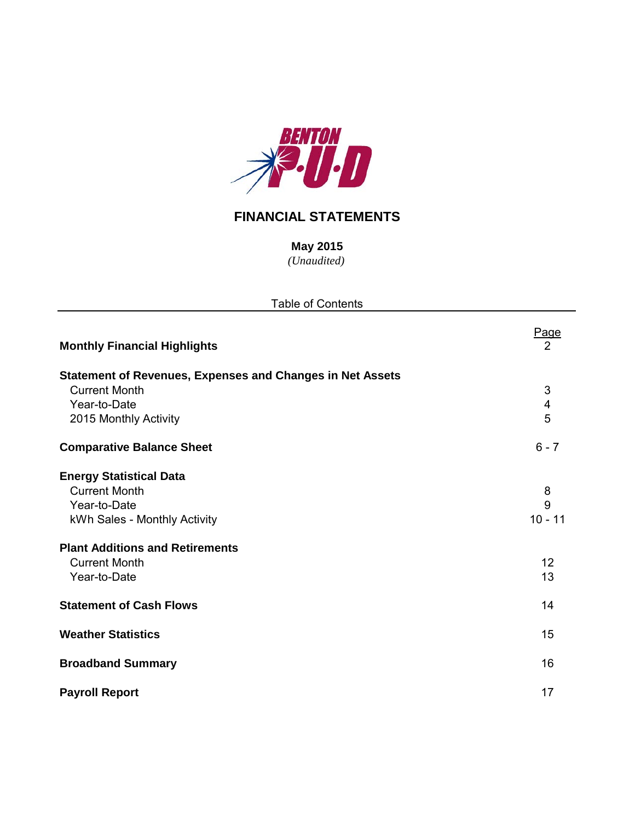

# **FINANCIAL STATEMENTS**

*(Unaudited)* **May 2015**

| <b>Table of Contents</b>                                         |                   |  |  |  |  |  |  |
|------------------------------------------------------------------|-------------------|--|--|--|--|--|--|
| <b>Monthly Financial Highlights</b>                              | Page<br>2         |  |  |  |  |  |  |
| <b>Statement of Revenues, Expenses and Changes in Net Assets</b> |                   |  |  |  |  |  |  |
| <b>Current Month</b>                                             | 3                 |  |  |  |  |  |  |
| Year-to-Date                                                     | 4                 |  |  |  |  |  |  |
| 2015 Monthly Activity                                            | 5                 |  |  |  |  |  |  |
| <b>Comparative Balance Sheet</b>                                 | $6 - 7$           |  |  |  |  |  |  |
| <b>Energy Statistical Data</b>                                   |                   |  |  |  |  |  |  |
| <b>Current Month</b>                                             | 8                 |  |  |  |  |  |  |
| Year-to-Date                                                     | 9                 |  |  |  |  |  |  |
| kWh Sales - Monthly Activity                                     | $10 - 11$         |  |  |  |  |  |  |
| <b>Plant Additions and Retirements</b>                           |                   |  |  |  |  |  |  |
| <b>Current Month</b>                                             | $12 \overline{ }$ |  |  |  |  |  |  |
| Year-to-Date                                                     | 13                |  |  |  |  |  |  |
| <b>Statement of Cash Flows</b>                                   | 14                |  |  |  |  |  |  |
| <b>Weather Statistics</b>                                        | 15                |  |  |  |  |  |  |
| <b>Broadband Summary</b>                                         | 16                |  |  |  |  |  |  |
| <b>Payroll Report</b>                                            | 17                |  |  |  |  |  |  |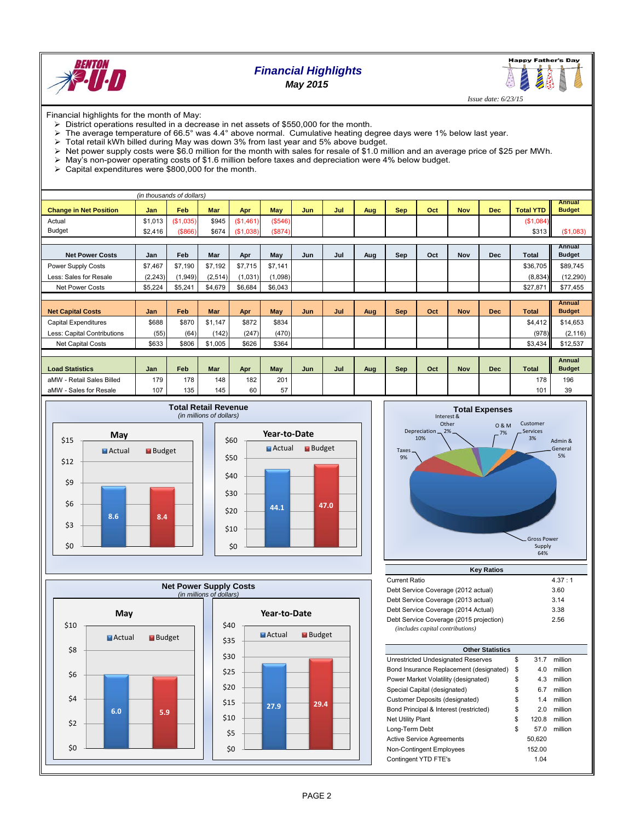

# *Financial Highlights May 2015*



 *Issue date: 6/23/15*

Financial highlights for the month of May:

- $\triangleright$  District operations resulted in a decrease in net assets of \$550,000 for the month.
- The average temperature of 66.5° was 4.4° above normal. Cumulative heating degree days were 1% below last year.
- > Total retail kWh billed during May was down 3% from last year and 5% above budget.
- Net power supply costs were \$6.0 million for the month with sales for resale of \$1.0 million and an average price of \$25 per MWh.
- May's non-power operating costs of \$1.6 million before taxes and depreciation were 4% below budget.
- $\triangleright$  Capital expenditures were \$800,000 for the month.

| (in thousands of dollars)     |          |           |          |           |         |     |     |     |            |     |            |            |                  |                                |
|-------------------------------|----------|-----------|----------|-----------|---------|-----|-----|-----|------------|-----|------------|------------|------------------|--------------------------------|
| <b>Change in Net Position</b> | Jan      | Feb       | Mar      | Apr       | May     | Jun | Jul | Aug | <b>Sep</b> | Oct | <b>Nov</b> | <b>Dec</b> | <b>Total YTD</b> | <b>Annual</b><br><b>Budget</b> |
| Actual                        | \$1,013  | (\$1,035) | \$945    | (\$1,461) | (\$546) |     |     |     |            |     |            |            | (\$1,084)        |                                |
| <b>Budget</b>                 | \$2,416  | ( \$866)  | \$674    | (\$1,038) | (\$874) |     |     |     |            |     |            |            | \$313            | (\$1,083)                      |
|                               |          |           |          |           |         |     |     |     |            |     |            |            |                  |                                |
| <b>Net Power Costs</b>        | Jan      | Feb       | Mar      | Apr       | May     | Jun | Jul | Aug | Sep        | Oct | <b>Nov</b> | <b>Dec</b> | Total            | Annual<br><b>Budget</b>        |
| Power Supply Costs            | \$7.467  | \$7.190   | \$7.192  | \$7.715   | \$7,141 |     |     |     |            |     |            |            | \$36,705         | \$89,745                       |
| Less: Sales for Resale        | (2, 243) | (1, 949)  | (2, 514) | (1,031)   | (1,098) |     |     |     |            |     |            |            | (8,834)          | (12, 290)                      |
| <b>Net Power Costs</b>        | \$5,224  | \$5,241   | \$4,679  | \$6,684   | \$6,043 |     |     |     |            |     |            |            | \$27,871         | \$77,455                       |
|                               |          |           |          |           |         |     |     |     |            |     |            |            |                  |                                |
| <b>Net Capital Costs</b>      | Jan      | Feb       | Mar      | Apr       | May     | Jun | Jul | Aug | <b>Sep</b> | Oct | <b>Nov</b> | <b>Dec</b> | <b>Total</b>     | <b>Annual</b><br><b>Budget</b> |
| <b>Capital Expenditures</b>   | \$688    | \$870     | \$1.147  | \$872     | \$834   |     |     |     |            |     |            |            | \$4,412          | \$14,653                       |
| Less: Capital Contributions   | (55)     | (64)      | (142)    | (247)     | (470)   |     |     |     |            |     |            |            | (978)            | (2, 116)                       |
| <b>Net Capital Costs</b>      | \$633    | \$806     | \$1,005  | \$626     | \$364   |     |     |     |            |     |            |            | \$3,434          | \$12,537                       |
|                               |          |           |          |           |         |     |     |     |            |     |            |            |                  |                                |
| <b>Load Statistics</b>        | Jan      | Feb       | Mar      | Apr       | May     | Jun | Jul | Aug | Sep        | Oct | <b>Nov</b> | <b>Dec</b> | <b>Total</b>     | Annual<br><b>Budget</b>        |
| aMW - Retail Sales Billed     | 179      | 178       | 148      | 182       | 201     |     |     |     |            |     |            |            | 178              | 196                            |
| aMW - Sales for Resale        | 107      | 135       | 145      | 60        | 57      |     |     |     |            |     |            |            | 101              | 39                             |









| <b>Key Ratios</b>                       |        |  |  |  |  |  |  |  |  |  |
|-----------------------------------------|--------|--|--|--|--|--|--|--|--|--|
| <b>Current Ratio</b>                    | 4.37:1 |  |  |  |  |  |  |  |  |  |
| Debt Service Coverage (2012 actual)     | 3.60   |  |  |  |  |  |  |  |  |  |
| Debt Service Coverage (2013 actual)     | 3.14   |  |  |  |  |  |  |  |  |  |
| Debt Service Coverage (2014 Actual)     | 3.38   |  |  |  |  |  |  |  |  |  |
| Debt Service Coverage (2015 projection) | 2.56   |  |  |  |  |  |  |  |  |  |
| (includes capital contributions)        |        |  |  |  |  |  |  |  |  |  |

| <b>Other Statistics</b>                 |    |        |         |  |  |  |  |  |  |  |
|-----------------------------------------|----|--------|---------|--|--|--|--|--|--|--|
| Unrestricted Undesignated Reserves      | \$ | 31.7   | million |  |  |  |  |  |  |  |
| Bond Insurance Replacement (designated) | \$ | 4.0    | million |  |  |  |  |  |  |  |
| Power Market Volatility (designated)    | \$ | 4.3    | million |  |  |  |  |  |  |  |
| Special Capital (designated)            | \$ | 6.7    | million |  |  |  |  |  |  |  |
| Customer Deposits (designated)          | \$ | 1.4    | million |  |  |  |  |  |  |  |
| Bond Principal & Interest (restricted)  | \$ | 2.0    | million |  |  |  |  |  |  |  |
| <b>Net Utility Plant</b>                | \$ | 120.8  | million |  |  |  |  |  |  |  |
| Long-Term Debt                          | \$ | 57.0   | million |  |  |  |  |  |  |  |
| <b>Active Service Agreements</b>        |    | 50.620 |         |  |  |  |  |  |  |  |
| Non-Contingent Employees                |    | 152.00 |         |  |  |  |  |  |  |  |
| Contingent YTD FTE's                    |    | 1.04   |         |  |  |  |  |  |  |  |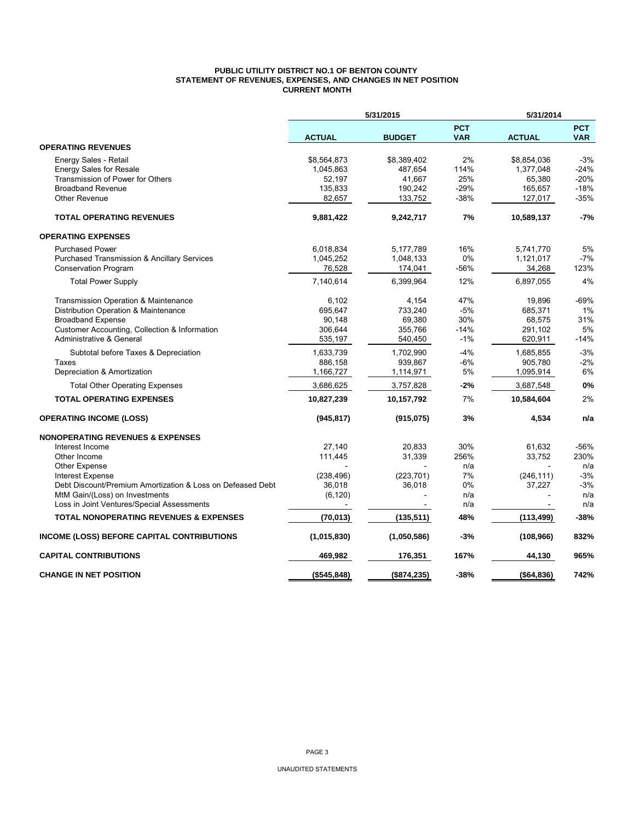#### **PUBLIC UTILITY DISTRICT NO.1 OF BENTON COUNTY STATEMENT OF REVENUES, EXPENSES, AND CHANGES IN NET POSITION CURRENT MONTH**

|                                                            | 5/31/2015     |               |                          | 5/31/2014     |                          |  |  |
|------------------------------------------------------------|---------------|---------------|--------------------------|---------------|--------------------------|--|--|
|                                                            | <b>ACTUAL</b> | <b>BUDGET</b> | <b>PCT</b><br><b>VAR</b> | <b>ACTUAL</b> | <b>PCT</b><br><b>VAR</b> |  |  |
| <b>OPERATING REVENUES</b>                                  |               |               |                          |               |                          |  |  |
| Energy Sales - Retail                                      | \$8,564,873   | \$8,389,402   | 2%                       | \$8,854,036   | $-3%$                    |  |  |
| <b>Energy Sales for Resale</b>                             | 1,045,863     | 487,654       | 114%                     | 1,377,048     | $-24%$                   |  |  |
| Transmission of Power for Others                           | 52,197        | 41,667        | 25%                      | 65,380        | $-20%$                   |  |  |
| <b>Broadband Revenue</b>                                   | 135,833       | 190,242       | $-29%$                   | 165,657       | $-18%$                   |  |  |
| Other Revenue                                              | 82,657        | 133,752       | $-38%$                   | 127,017       | $-35%$                   |  |  |
| <b>TOTAL OPERATING REVENUES</b>                            | 9,881,422     | 9,242,717     | 7%                       | 10,589,137    | $-7%$                    |  |  |
| <b>OPERATING EXPENSES</b>                                  |               |               |                          |               |                          |  |  |
| <b>Purchased Power</b>                                     | 6,018,834     | 5,177,789     | 16%                      | 5,741,770     | 5%                       |  |  |
| <b>Purchased Transmission &amp; Ancillary Services</b>     | 1,045,252     | 1,048,133     | 0%                       | 1,121,017     | $-7%$                    |  |  |
| <b>Conservation Program</b>                                | 76,528        | 174,041       | -56%                     | 34,268        | 123%                     |  |  |
| <b>Total Power Supply</b>                                  | 7,140,614     | 6,399,964     | 12%                      | 6,897,055     | 4%                       |  |  |
| <b>Transmission Operation &amp; Maintenance</b>            | 6,102         | 4,154         | 47%                      | 19.896        | $-69%$                   |  |  |
| Distribution Operation & Maintenance                       | 695,647       | 733,240       | $-5%$                    | 685.371       | 1%                       |  |  |
| <b>Broadband Expense</b>                                   | 90,148        | 69,380        | 30%                      | 68,575        | 31%                      |  |  |
| Customer Accounting, Collection & Information              | 306,644       | 355,766       | $-14%$                   | 291,102       | 5%                       |  |  |
| Administrative & General                                   | 535,197       | 540,450       | $-1%$                    | 620,911       | $-14%$                   |  |  |
| Subtotal before Taxes & Depreciation                       | 1,633,739     | 1,702,990     | $-4%$                    | 1,685,855     | $-3%$                    |  |  |
| Taxes                                                      | 886,158       | 939,867       | $-6%$                    | 905,780       | $-2%$                    |  |  |
| Depreciation & Amortization                                | 1,166,727     | 1,114,971     | $5\%$                    | 1,095,914     | 6%                       |  |  |
| <b>Total Other Operating Expenses</b>                      | 3,686,625     | 3,757,828     | $-2%$                    | 3,687,548     | 0%                       |  |  |
| <b>TOTAL OPERATING EXPENSES</b>                            | 10,827,239    | 10,157,792    | 7%                       | 10,584,604    | 2%                       |  |  |
| <b>OPERATING INCOME (LOSS)</b>                             | (945, 817)    | (915, 075)    | 3%                       | 4,534         | n/a                      |  |  |
| <b>NONOPERATING REVENUES &amp; EXPENSES</b>                |               |               |                          |               |                          |  |  |
| Interest Income                                            | 27,140        | 20,833        | 30%                      | 61,632        | $-56%$                   |  |  |
| Other Income                                               | 111,445       | 31,339        | 256%                     | 33,752        | 230%                     |  |  |
| Other Expense                                              |               |               | n/a                      |               | n/a                      |  |  |
| <b>Interest Expense</b>                                    | (238, 496)    | (223, 701)    | 7%                       | (246, 111)    | $-3%$                    |  |  |
| Debt Discount/Premium Amortization & Loss on Defeased Debt | 36,018        | 36,018        | 0%                       | 37,227        | $-3%$                    |  |  |
| MtM Gain/(Loss) on Investments                             | (6, 120)      |               | n/a                      |               | n/a                      |  |  |
| Loss in Joint Ventures/Special Assessments                 |               |               | n/a                      |               | n/a                      |  |  |
| <b>TOTAL NONOPERATING REVENUES &amp; EXPENSES</b>          | (70, 013)     | (135, 511)    | 48%                      | (113, 499)    | $-38%$                   |  |  |
| INCOME (LOSS) BEFORE CAPITAL CONTRIBUTIONS                 | (1,015,830)   | (1,050,586)   | -3%                      | (108, 966)    | 832%                     |  |  |
| <b>CAPITAL CONTRIBUTIONS</b>                               | 469,982       | 176,351       | 167%                     | 44,130        | 965%                     |  |  |
| <b>CHANGE IN NET POSITION</b>                              | (\$545,848)   | (\$874, 235)  | $-38%$                   | ( \$64, 836)  | 742%                     |  |  |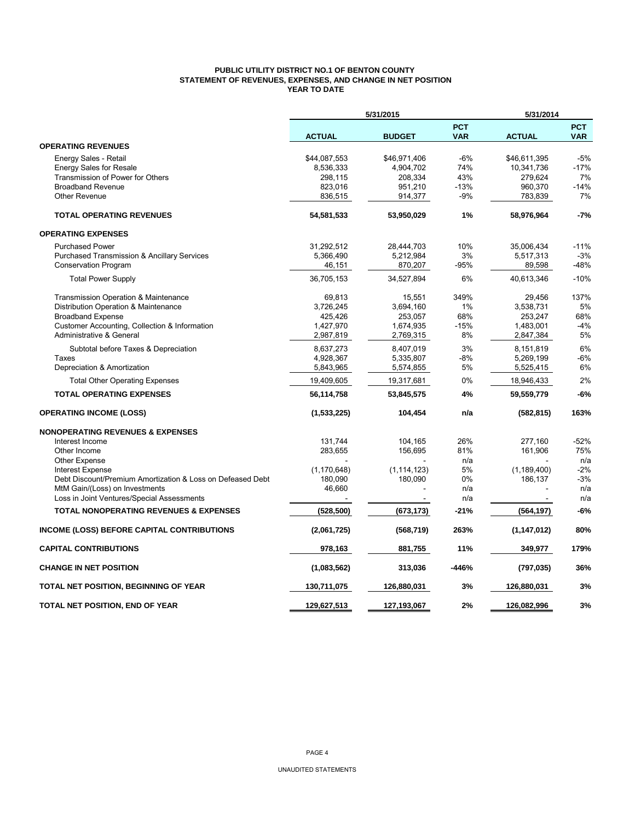## **PUBLIC UTILITY DISTRICT NO.1 OF BENTON COUNTY STATEMENT OF REVENUES, EXPENSES, AND CHANGE IN NET POSITION YEAR TO DATE**

|                                                            |               | 5/31/2015     |                          | 5/31/2014     |                          |
|------------------------------------------------------------|---------------|---------------|--------------------------|---------------|--------------------------|
|                                                            | <b>ACTUAL</b> | <b>BUDGET</b> | <b>PCT</b><br><b>VAR</b> | <b>ACTUAL</b> | <b>PCT</b><br><b>VAR</b> |
| <b>OPERATING REVENUES</b>                                  |               |               |                          |               |                          |
| Energy Sales - Retail                                      | \$44,087,553  | \$46,971,406  | -6%                      | \$46,611,395  | -5%                      |
| <b>Energy Sales for Resale</b>                             | 8,536,333     | 4,904,702     | 74%                      | 10,341,736    | $-17%$                   |
| Transmission of Power for Others                           | 298,115       | 208,334       | 43%                      | 279.624       | 7%                       |
| <b>Broadband Revenue</b>                                   | 823,016       | 951,210       | $-13%$                   | 960,370       | $-14%$                   |
| <b>Other Revenue</b>                                       | 836,515       | 914,377       | -9%                      | 783,839       | 7%                       |
| <b>TOTAL OPERATING REVENUES</b>                            | 54,581,533    | 53,950,029    | 1%                       | 58,976,964    | $-7%$                    |
| <b>OPERATING EXPENSES</b>                                  |               |               |                          |               |                          |
| <b>Purchased Power</b>                                     | 31,292,512    | 28,444,703    | 10%                      | 35,006,434    | -11%                     |
| Purchased Transmission & Ancillary Services                | 5,366,490     | 5,212,984     | 3%                       | 5,517,313     | $-3%$                    |
| <b>Conservation Program</b>                                | 46,151        | 870,207       | -95%                     | 89,598        | -48%                     |
| <b>Total Power Supply</b>                                  | 36,705,153    | 34,527,894    | 6%                       | 40,613,346    | $-10%$                   |
| Transmission Operation & Maintenance                       | 69,813        | 15,551        | 349%                     | 29,456        | 137%                     |
| Distribution Operation & Maintenance                       | 3,726,245     | 3,694,160     | 1%                       | 3,538,731     | 5%                       |
| <b>Broadband Expense</b>                                   | 425,426       | 253,057       | 68%                      | 253,247       | 68%                      |
| Customer Accounting, Collection & Information              | 1,427,970     | 1,674,935     | $-15%$                   | 1,483,001     | $-4%$                    |
| Administrative & General                                   | 2,987,819     | 2,769,315     | 8%                       | 2,847,384     | 5%                       |
| Subtotal before Taxes & Depreciation                       | 8,637,273     | 8,407,019     | 3%                       | 8,151,819     | 6%                       |
| Taxes                                                      | 4,928,367     | 5,335,807     | $-8%$                    | 5,269,199     | $-6%$                    |
| Depreciation & Amortization                                | 5,843,965     | 5,574,855     | 5%                       | 5,525,415     | 6%                       |
| <b>Total Other Operating Expenses</b>                      | 19,409,605    | 19,317,681    | 0%                       | 18,946,433    | 2%                       |
| <b>TOTAL OPERATING EXPENSES</b>                            | 56,114,758    | 53,845,575    | 4%                       | 59,559,779    | $-6%$                    |
| <b>OPERATING INCOME (LOSS)</b>                             | (1,533,225)   | 104,454       | n/a                      | (582, 815)    | 163%                     |
| <b>NONOPERATING REVENUES &amp; EXPENSES</b>                |               |               |                          |               |                          |
| Interest Income                                            | 131,744       | 104,165       | 26%                      | 277,160       | $-52%$                   |
| Other Income                                               | 283.655       | 156.695       | 81%                      | 161,906       | 75%                      |
| <b>Other Expense</b>                                       |               |               | n/a                      |               | n/a                      |
| <b>Interest Expense</b>                                    | (1, 170, 648) | (1, 114, 123) | 5%                       | (1, 189, 400) | $-2%$                    |
| Debt Discount/Premium Amortization & Loss on Defeased Debt | 180,090       | 180,090       | 0%                       | 186,137       | $-3%$                    |
| MtM Gain/(Loss) on Investments                             | 46,660        |               | n/a                      |               | n/a                      |
| Loss in Joint Ventures/Special Assessments                 |               |               | n/a                      |               | n/a                      |
| <b>TOTAL NONOPERATING REVENUES &amp; EXPENSES</b>          | (528, 500)    | (673, 173)    | $-21%$                   | (564, 197)    | $-6%$                    |
| <b>INCOME (LOSS) BEFORE CAPITAL CONTRIBUTIONS</b>          | (2,061,725)   | (568, 719)    | 263%                     | (1, 147, 012) | 80%                      |
| <b>CAPITAL CONTRIBUTIONS</b>                               | 978,163       | 881,755       | 11%                      | 349,977       | 179%                     |
| <b>CHANGE IN NET POSITION</b>                              | (1,083,562)   | 313,036       | -446%                    | (797, 035)    | 36%                      |
| TOTAL NET POSITION, BEGINNING OF YEAR                      | 130,711,075   | 126,880,031   | 3%                       | 126,880,031   | 3%                       |
| TOTAL NET POSITION, END OF YEAR                            | 129.627.513   | 127,193,067   | 2%                       | 126,082,996   | 3%                       |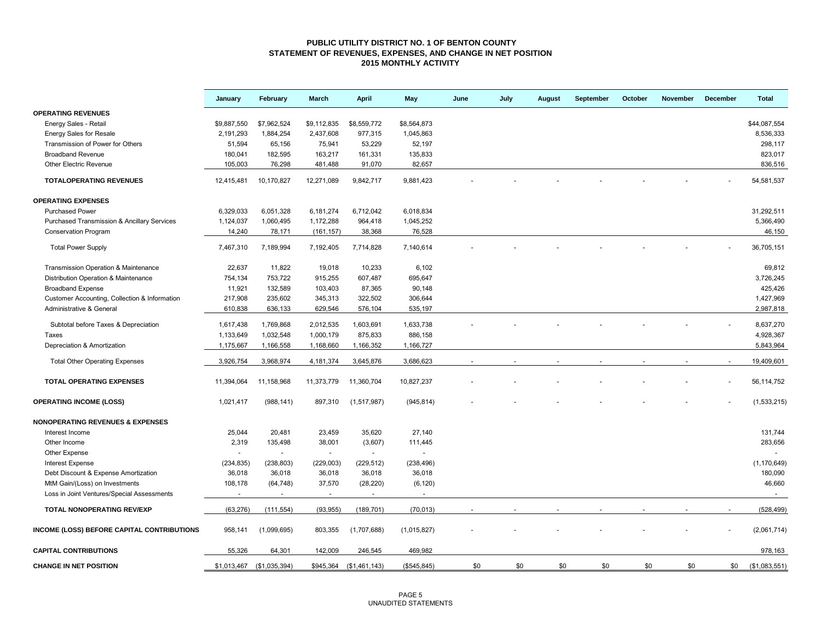#### **PUBLIC UTILITY DISTRICT NO. 1 OF BENTON COUNTY STATEMENT OF REVENUES, EXPENSES, AND CHANGE IN NET POSITION 2015 MONTHLY ACTIVITY**

|                                                        | January                | February               | March       | <b>April</b>  | May          | June | July | <b>August</b> | September | October | <b>November</b> | December | <b>Total</b>  |
|--------------------------------------------------------|------------------------|------------------------|-------------|---------------|--------------|------|------|---------------|-----------|---------|-----------------|----------|---------------|
| <b>OPERATING REVENUES</b>                              |                        |                        |             |               |              |      |      |               |           |         |                 |          |               |
| Energy Sales - Retail                                  | \$9,887,550            | \$7,962,524            | \$9,112,835 | \$8,559,772   | \$8,564,873  |      |      |               |           |         |                 |          | \$44,087,554  |
| <b>Energy Sales for Resale</b>                         | 2,191,293              | 1,884,254              | 2,437,608   | 977,315       | 1,045,863    |      |      |               |           |         |                 |          | 8,536,333     |
| Transmission of Power for Others                       | 51,594                 | 65,156                 | 75,941      | 53,229        | 52,197       |      |      |               |           |         |                 |          | 298,117       |
| <b>Broadband Revenue</b>                               | 180,041                | 182,595                | 163,217     | 161,331       | 135,833      |      |      |               |           |         |                 |          | 823,017       |
| <b>Other Electric Revenue</b>                          | 105,003                | 76,298                 | 481,488     | 91,070        | 82,657       |      |      |               |           |         |                 |          | 836,516       |
| <b>TOTALOPERATING REVENUES</b>                         | 12,415,481             | 10,170,827             | 12,271,089  | 9,842,717     | 9,881,423    |      |      |               |           |         |                 |          | 54,581,537    |
| <b>OPERATING EXPENSES</b>                              |                        |                        |             |               |              |      |      |               |           |         |                 |          |               |
| <b>Purchased Power</b>                                 | 6,329,033              | 6,051,328              | 6,181,274   | 6,712,042     | 6,018,834    |      |      |               |           |         |                 |          | 31,292,511    |
| <b>Purchased Transmission &amp; Ancillary Services</b> | 1,124,037              | 1,060,495              | 1,172,288   | 964,418       | 1,045,252    |      |      |               |           |         |                 |          | 5,366,490     |
| <b>Conservation Program</b>                            | 14,240                 | 78,171                 | (161, 157)  | 38,368        | 76,528       |      |      |               |           |         |                 |          | 46,150        |
| <b>Total Power Supply</b>                              | 7,467,310              | 7,189,994              | 7,192,405   | 7,714,828     | 7,140,614    |      |      |               |           |         |                 |          | 36,705,151    |
| Transmission Operation & Maintenance                   | 22,637                 | 11,822                 | 19,018      | 10.233        | 6,102        |      |      |               |           |         |                 |          | 69,812        |
| Distribution Operation & Maintenance                   | 754,134                | 753,722                | 915,255     | 607,487       | 695,647      |      |      |               |           |         |                 |          | 3,726,245     |
| <b>Broadband Expense</b>                               | 11,921                 | 132,589                | 103,403     | 87,365        | 90,148       |      |      |               |           |         |                 |          | 425,426       |
| Customer Accounting, Collection & Information          | 217,908                | 235,602                | 345,313     | 322,502       | 306,644      |      |      |               |           |         |                 |          | 1,427,969     |
| Administrative & General                               | 610,838                | 636,133                | 629,546     | 576,104       | 535,197      |      |      |               |           |         |                 |          | 2,987,818     |
|                                                        |                        |                        | 2,012,535   | 1,603,691     | 1,633,738    |      |      |               |           |         |                 |          | 8,637,270     |
| Subtotal before Taxes & Depreciation<br>Taxes          | 1,617,438<br>1,133,649 | 1,769,868<br>1,032,548 | 1,000,179   | 875,833       | 886,158      |      |      |               |           |         |                 |          | 4,928,367     |
|                                                        | 1,175,667              |                        | 1,168,660   |               |              |      |      |               |           |         |                 |          | 5,843,964     |
| Depreciation & Amortization                            |                        | 1,166,558              |             | 1,166,352     | 1,166,727    |      |      |               |           |         |                 |          |               |
| <b>Total Other Operating Expenses</b>                  | 3,926,754              | 3,968,974              | 4,181,374   | 3,645,876     | 3,686,623    |      |      |               |           |         |                 |          | 19,409,601    |
| <b>TOTAL OPERATING EXPENSES</b>                        | 11,394,064             | 11,158,968             | 11,373,779  | 11,360,704    | 10,827,237   |      |      |               |           |         |                 |          | 56,114,752    |
| <b>OPERATING INCOME (LOSS)</b>                         | 1,021,417              | (988, 141)             | 897,310     | (1,517,987)   | (945, 814)   |      |      |               |           |         |                 |          | (1,533,215)   |
| <b>NONOPERATING REVENUES &amp; EXPENSES</b>            |                        |                        |             |               |              |      |      |               |           |         |                 |          |               |
| Interest Income                                        | 25,044                 | 20,481                 | 23,459      | 35,620        | 27,140       |      |      |               |           |         |                 |          | 131,744       |
| Other Income                                           | 2,319                  | 135,498                | 38,001      | (3,607)       | 111,445      |      |      |               |           |         |                 |          | 283,656       |
| Other Expense                                          |                        | $\sim$                 | $\omega$    | $\omega$      | $\sim$       |      |      |               |           |         |                 |          |               |
| <b>Interest Expense</b>                                | (234, 835)             | (238, 803)             | (229,003)   | (229, 512)    | (238, 496)   |      |      |               |           |         |                 |          | (1, 170, 649) |
| Debt Discount & Expense Amortization                   | 36,018                 | 36,018                 | 36,018      | 36,018        | 36,018       |      |      |               |           |         |                 |          | 180,090       |
| MtM Gain/(Loss) on Investments                         | 108,178                | (64, 748)              | 37,570      | (28, 220)     | (6, 120)     |      |      |               |           |         |                 |          | 46,660        |
| Loss in Joint Ventures/Special Assessments             |                        |                        | $\sim$      | $\sim$        |              |      |      |               |           |         |                 |          | $\sim$        |
| <b>TOTAL NONOPERATING REV/EXP</b>                      | (63, 276)              | (111, 554)             | (93, 955)   | (189, 701)    | (70, 013)    |      |      |               |           |         |                 |          | (528, 499)    |
| <b>INCOME (LOSS) BEFORE CAPITAL CONTRIBUTIONS</b>      | 958,141                | (1,099,695)            | 803,355     | (1,707,688)   | (1,015,827)  |      |      |               |           |         |                 |          | (2,061,714)   |
| <b>CAPITAL CONTRIBUTIONS</b>                           | 55,326                 | 64,301                 | 142,009     | 246,545       | 469,982      |      |      |               |           |         |                 |          | 978,163       |
| <b>CHANGE IN NET POSITION</b>                          | \$1,013,467            | (\$1,035,394)          | \$945,364   | (\$1,461,143) | (\$545, 845) | \$0  | \$0  | \$0           | \$0       | \$0     | \$0             | \$0      | (\$1,083,551) |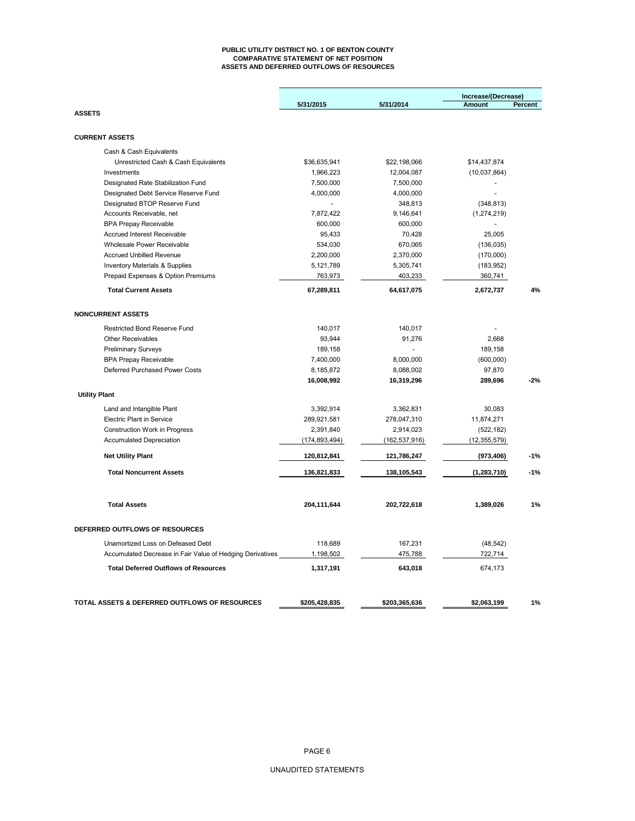#### **PUBLIC UTILITY DISTRICT NO. 1 OF BENTON COUNTY COMPARATIVE STATEMENT OF NET POSITION ASSETS AND DEFERRED OUTFLOWS OF RESOURCES**

|                                                           |                 |                 | Increase/(Decrease) |         |
|-----------------------------------------------------------|-----------------|-----------------|---------------------|---------|
|                                                           | 5/31/2015       | 5/31/2014       | <b>Amount</b>       | Percent |
| <b>ASSETS</b>                                             |                 |                 |                     |         |
| <b>CURRENT ASSETS</b>                                     |                 |                 |                     |         |
| Cash & Cash Equivalents                                   |                 |                 |                     |         |
| Unrestricted Cash & Cash Equivalents                      | \$36,635,941    | \$22,198,066    | \$14,437,874        |         |
| Investments                                               | 1,966,223       | 12,004,087      | (10,037,864)        |         |
| Designated Rate Stabilization Fund                        | 7,500,000       | 7,500,000       |                     |         |
| Designated Debt Service Reserve Fund                      | 4,000,000       | 4,000,000       | $\overline{a}$      |         |
| Designated BTOP Reserve Fund                              |                 | 348,813         | (348, 813)          |         |
| Accounts Receivable, net                                  | 7,872,422       | 9,146,641       | (1, 274, 219)       |         |
| <b>BPA Prepay Receivable</b>                              | 600,000         | 600,000         |                     |         |
| Accrued Interest Receivable                               | 95,433          | 70,428          | 25,005              |         |
| Wholesale Power Receivable                                | 534,030         | 670,065         | (136, 035)          |         |
| <b>Accrued Unbilled Revenue</b>                           | 2,200,000       | 2,370,000       | (170,000)           |         |
| <b>Inventory Materials &amp; Supplies</b>                 | 5,121,789       | 5,305,741       | (183, 952)          |         |
| Prepaid Expenses & Option Premiums                        | 763,973         | 403,233         | 360,741             |         |
| <b>Total Current Assets</b>                               | 67,289,811      | 64,617,075      | 2,672,737           | 4%      |
| <b>NONCURRENT ASSETS</b>                                  |                 |                 |                     |         |
| Restricted Bond Reserve Fund                              | 140,017         | 140,017         |                     |         |
| <b>Other Receivables</b>                                  | 93,944          | 91,276          | 2,668               |         |
| <b>Preliminary Surveys</b>                                | 189,158         |                 | 189,158             |         |
| <b>BPA Prepay Receivable</b>                              | 7,400,000       | 8,000,000       | (600,000)           |         |
| Deferred Purchased Power Costs                            | 8,185,872       | 8,088,002       | 97,870              |         |
|                                                           | 16,008,992      | 16,319,296      | 289,696             | $-2%$   |
|                                                           |                 |                 |                     |         |
| <b>Utility Plant</b>                                      |                 |                 |                     |         |
| Land and Intangible Plant                                 | 3,392,914       | 3,362,831       | 30,083              |         |
| <b>Electric Plant in Service</b>                          | 289,921,581     | 278,047,310     | 11,874,271          |         |
| <b>Construction Work in Progress</b>                      | 2,391,840       | 2,914,023       | (522, 182)          |         |
| <b>Accumulated Depreciation</b>                           | (174, 893, 494) | (162, 537, 916) | (12, 355, 579)      |         |
| <b>Net Utility Plant</b>                                  | 120,812,841     | 121,786,247     | (973, 406)          | $-1%$   |
| <b>Total Noncurrent Assets</b>                            | 136,821,833     | 138,105,543     | (1, 283, 710)       | $-1%$   |
|                                                           |                 |                 |                     |         |
| <b>Total Assets</b>                                       | 204,111,644     | 202,722,618     | 1,389,026           | 1%      |
| DEFERRED OUTFLOWS OF RESOURCES                            |                 |                 |                     |         |
| Unamortized Loss on Defeased Debt                         | 118,689         | 167,231         | (48, 542)           |         |
| Accumulated Decrease in Fair Value of Hedging Derivatives | 1,198,502       | 475,788         | 722,714             |         |
| <b>Total Deferred Outflows of Resources</b>               | 1,317,191       | 643,018         | 674,173             |         |
|                                                           |                 |                 |                     |         |
| TOTAL ASSETS & DEFERRED OUTFLOWS OF RESOURCES             | \$205,428,835   | \$203,365,636   | \$2,063,199         | 1%      |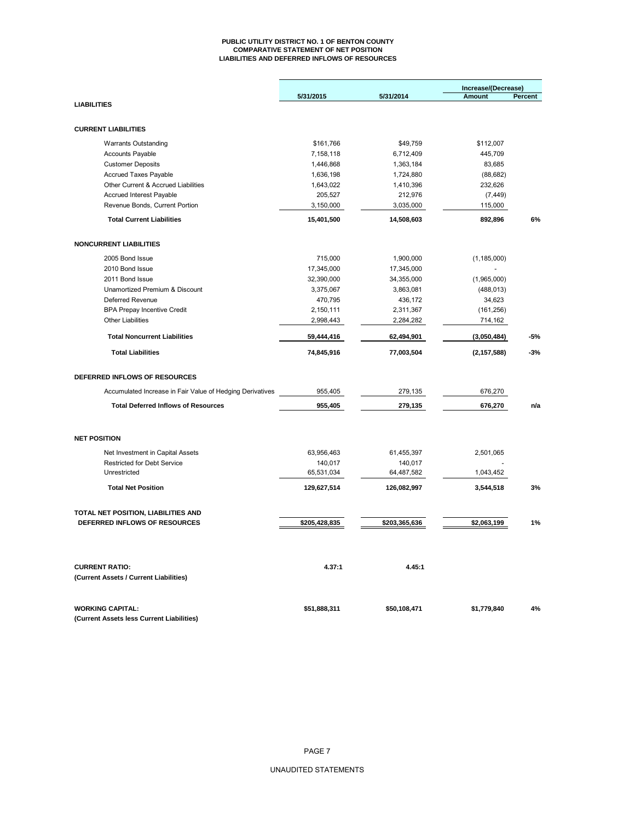#### **PUBLIC UTILITY DISTRICT NO. 1 OF BENTON COUNTY COMPARATIVE STATEMENT OF NET POSITION LIABILITIES AND DEFERRED INFLOWS OF RESOURCES**

|                                                                      |               |               | Increase/(Decrease) |         |
|----------------------------------------------------------------------|---------------|---------------|---------------------|---------|
|                                                                      | 5/31/2015     | 5/31/2014     | Amount              | Percent |
| <b>LIABILITIES</b>                                                   |               |               |                     |         |
|                                                                      |               |               |                     |         |
| <b>CURRENT LIABILITIES</b>                                           |               |               |                     |         |
| <b>Warrants Outstanding</b>                                          | \$161,766     | \$49,759      | \$112,007           |         |
| <b>Accounts Payable</b>                                              | 7,158,118     | 6,712,409     | 445,709             |         |
| <b>Customer Deposits</b>                                             | 1,446,868     | 1,363,184     | 83,685              |         |
| Accrued Taxes Payable                                                | 1,636,198     | 1,724,880     | (88, 682)           |         |
| Other Current & Accrued Liabilities                                  | 1,643,022     | 1,410,396     | 232,626             |         |
| <b>Accrued Interest Payable</b>                                      | 205,527       | 212,976       | (7, 449)            |         |
| Revenue Bonds, Current Portion                                       | 3,150,000     | 3,035,000     | 115,000             |         |
| <b>Total Current Liabilities</b>                                     | 15,401,500    | 14,508,603    | 892,896             | 6%      |
| <b>NONCURRENT LIABILITIES</b>                                        |               |               |                     |         |
|                                                                      |               |               |                     |         |
| 2005 Bond Issue                                                      | 715,000       | 1,900,000     | (1, 185, 000)       |         |
| 2010 Bond Issue                                                      | 17,345,000    | 17,345,000    |                     |         |
| 2011 Bond Issue                                                      | 32,390,000    | 34,355,000    | (1,965,000)         |         |
| Unamortized Premium & Discount                                       | 3,375,067     | 3,863,081     | (488, 013)          |         |
| <b>Deferred Revenue</b>                                              | 470,795       | 436,172       | 34,623              |         |
| <b>BPA Prepay Incentive Credit</b>                                   | 2,150,111     | 2,311,367     | (161, 256)          |         |
| <b>Other Liabilities</b>                                             | 2,998,443     | 2,284,282     | 714,162             |         |
| <b>Total Noncurrent Liabilities</b>                                  | 59,444,416    | 62,494,901    | (3,050,484)         | -5%     |
| <b>Total Liabilities</b>                                             | 74,845,916    | 77,003,504    | (2, 157, 588)       | $-3%$   |
| DEFERRED INFLOWS OF RESOURCES                                        |               |               |                     |         |
| Accumulated Increase in Fair Value of Hedging Derivatives            | 955,405       | 279,135       | 676,270             |         |
| <b>Total Deferred Inflows of Resources</b>                           | 955,405       | 279,135       | 676,270             | n/a     |
|                                                                      |               |               |                     |         |
| <b>NET POSITION</b>                                                  |               |               |                     |         |
| Net Investment in Capital Assets                                     | 63,956,463    | 61,455,397    | 2,501,065           |         |
| <b>Restricted for Debt Service</b>                                   | 140,017       | 140,017       |                     |         |
| Unrestricted                                                         | 65,531,034    | 64,487,582    | 1,043,452           |         |
| <b>Total Net Position</b>                                            | 129,627,514   | 126,082,997   | 3,544,518           | 3%      |
|                                                                      |               |               |                     |         |
| TOTAL NET POSITION, LIABILITIES AND<br>DEFERRED INFLOWS OF RESOURCES |               |               |                     |         |
|                                                                      | \$205,428,835 | \$203,365,636 | \$2,063,199         | 1%      |
| <b>CURRENT RATIO:</b>                                                | 4.37:1        | 4.45:1        |                     |         |
| (Current Assets / Current Liabilities)                               |               |               |                     |         |
|                                                                      |               |               |                     |         |
| <b>WORKING CAPITAL:</b>                                              | \$51,888,311  | \$50,108,471  | \$1,779,840         | 4%      |
| (Current Assets less Current Liabilities)                            |               |               |                     |         |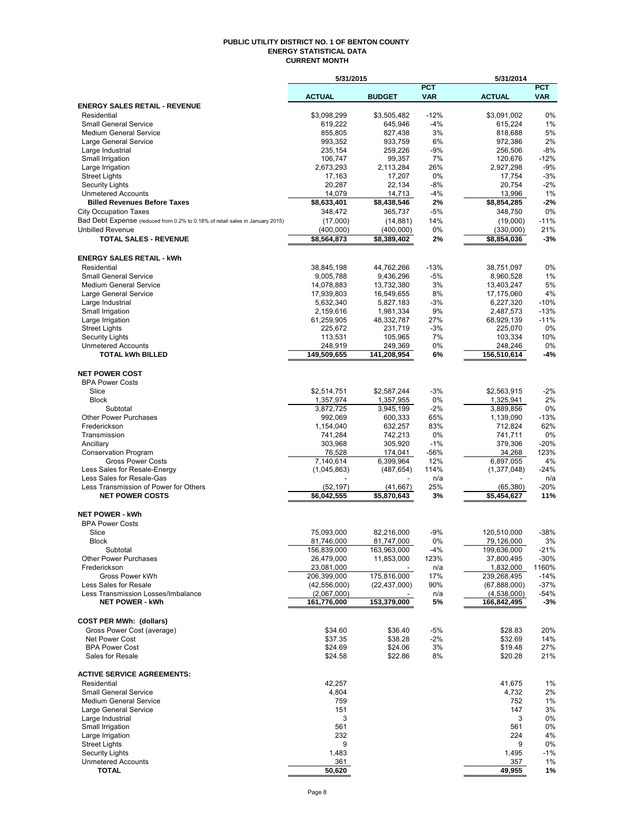#### **PUBLIC UTILITY DISTRICT NO. 1 OF BENTON COUNTY ENERGY STATISTICAL DATA CURRENT MONTH**

| <b>ACTUAL</b><br><b>BUDGET</b><br><b>VAR</b><br><b>ACTUAL</b><br><b>VAR</b><br><b>ENERGY SALES RETAIL - REVENUE</b><br>$-12%$<br>0%<br>\$3,098,299<br>\$3,505,482<br>\$3,091,002<br>Residential<br><b>Small General Service</b><br>619,222<br>645,946<br>$-4%$<br>1%<br>615,224<br>5%<br>3%<br><b>Medium General Service</b><br>855,805<br>827,438<br>818,688<br>6%<br>2%<br>Large General Service<br>993,352<br>933,759<br>972,386<br>235,154<br>259,226<br>-9%<br>256,506<br>$-8%$<br>Large Industrial<br>$-12%$<br>Small Irrigation<br>106,747<br>99,357<br>7%<br>120,676<br>Large Irrigation<br>2,673,293<br>2,113,284<br>26%<br>2,927,298<br>$-9%$<br>$-3%$<br><b>Street Lights</b><br>17,163<br>17,207<br>0%<br>17,754<br>$-8%$<br>$-2%$<br>20,287<br>22,134<br>20,754<br><b>Security Lights</b><br><b>Unmetered Accounts</b><br>14,079<br>14,713<br>-4%<br>13,996<br>1%<br>\$8,633,401<br>$-2%$<br><b>Billed Revenues Before Taxes</b><br>\$8,438,546<br>\$8,854,285<br>2%<br>0%<br>365,737<br>-5%<br><b>City Occupation Taxes</b><br>348,472<br>348,750<br>Bad Debt Expense (reduced from 0.2% to 0.18% of retail sales in January 2015)<br>$-11%$<br>(17,000)<br>14%<br>(14, 881)<br>(19,000)<br>0%<br>21%<br><b>Unbilled Revenue</b><br>(400,000)<br>(400,000)<br>(330,000)<br><b>TOTAL SALES - REVENUE</b><br>\$8,564,873<br>\$8,389,402<br>2%<br>\$8,854,036<br>$-3%$<br><b>ENERGY SALES RETAIL - kWh</b><br>$-13%$<br>0%<br>Residential<br>38,845,198<br>44,762,266<br>38,751,097<br><b>Small General Service</b><br>9,005,788<br>9,436,296<br>-5%<br>1%<br>8,960,528<br>3%<br>5%<br><b>Medium General Service</b><br>14,078,883<br>13,732,380<br>13,403,247<br>8%<br>4%<br>Large General Service<br>17,939,803<br>16,549,655<br>17,175,060<br>$-10%$<br>Large Industrial<br>5,632,340<br>-3%<br>6,227,320<br>5,827,183<br>9%<br>$-13%$<br>Small Irrigation<br>2,487,573<br>2,159,616<br>1,981,334<br>$-11%$<br>Large Irrigation<br>61,259,905<br>48,332,787<br>27%<br>68,929,139<br>-3%<br>0%<br><b>Street Lights</b><br>225,672<br>231,719<br>225,070<br>7%<br>10%<br>Security Lights<br>113,531<br>105,965<br>103,334<br><b>Unmetered Accounts</b><br>248,919<br>249,369<br>0%<br>0%<br>248,246<br><b>TOTAL kWh BILLED</b><br>149,509,655<br>141,208,954<br>6%<br>156,510,614<br>-4%<br><b>NET POWER COST</b><br><b>BPA Power Costs</b><br>Slice<br>\$2,514,751<br>\$2,587,244<br>$-3%$<br>\$2,563,915<br>$-2%$<br>2%<br><b>Block</b><br>0%<br>1,357,974<br>1,357,955<br>1,325,941<br>$-2%$<br>0%<br>Subtotal<br>3,872,725<br>3,945,199<br>3,889,856<br><b>Other Power Purchases</b><br>65%<br>1,139,090<br>$-13%$<br>992,069<br>600,333<br>62%<br>Frederickson<br>1,154,040<br>632,257<br>83%<br>712,824<br>Transmission<br>742,213<br>0%<br>0%<br>741,284<br>741,711<br>$-20%$<br>$-1%$<br>Ancillary<br>303,968<br>305,920<br>379,306<br>123%<br><b>Conservation Program</b><br>76,528<br>$-56%$<br>34,268<br>174,041<br><b>Gross Power Costs</b><br>7,140,614<br>6,399,964<br>12%<br>6,897,055<br>4%<br>Less Sales for Resale-Energy<br>114%<br>(1, 377, 048)<br>$-24%$<br>(1,045,863)<br>(487, 654)<br>Less Sales for Resale-Gas<br>n/a<br>n/a<br>Less Transmission of Power for Others<br>25%<br>$-20%$<br>(52, 197)<br>(41, 667)<br>(65, 380)<br><b>NET POWER COSTS</b><br>\$6,042,555<br>\$5,870,643<br>3%<br>\$5.454.627<br>11%<br><b>NET POWER - kWh</b><br><b>BPA Power Costs</b><br>Slice<br>$-9%$<br>$-38%$<br>75,093,000<br>82,216,000<br>120,510,000<br><b>Block</b><br>81,746,000<br>81,747,000<br>79,126,000<br>3%<br>0%<br>163,963,000<br>156,839,000<br>-4%<br>199,636,000<br>$-21%$<br>Subtotal<br>26,479,000<br>11,853,000<br>37,800,495<br>-30%<br><b>Other Power Purchases</b><br>123%<br>1160%<br>Frederickson<br>23,081,000<br>1,832,000<br>n/a<br>175,816,000<br>206,399,000<br>17%<br>239,268,495<br>$-14%$<br>Gross Power kWh<br>Less Sales for Resale<br>(42, 556, 000)<br>(22, 437, 000)<br>$-37%$<br>90%<br>(67,888,000)<br>(2,067,000)<br>(4,538,000)<br>-54%<br>Less Transmission Losses/Imbalance<br>n/a<br>161,776,000<br>153,379,000<br>166,842,495<br><b>NET POWER - kWh</b><br>5%<br>-3%<br><b>COST PER MWh: (dollars)</b><br>\$34.60<br>\$36.40<br>-5%<br>Gross Power Cost (average)<br>\$28.83<br>20%<br>$-2%$<br>\$37.35<br>\$38.28<br>14%<br>Net Power Cost<br>\$32.69<br><b>BPA Power Cost</b><br>\$24.69<br>\$24.06<br>3%<br>\$19.48<br>27%<br>Sales for Resale<br>\$22.86<br>8%<br>\$20.28<br>21%<br>\$24.58<br><b>ACTIVE SERVICE AGREEMENTS:</b><br>Residential<br>42,257<br>41,675<br>$1\%$<br><b>Small General Service</b><br>4,732<br>2%<br>4,804<br><b>Medium General Service</b><br>759<br>752<br>1%<br>151<br>147<br>3%<br>Large General Service<br>3<br>3<br>0%<br>Large Industrial<br>Small Irrigation<br>561<br>561<br>0%<br>232<br>4%<br>Large Irrigation<br>224<br><b>Street Lights</b><br>9<br>9<br>0%<br><b>Security Lights</b><br>1,483<br>1,495<br>$-1%$<br><b>Unmetered Accounts</b><br>1%<br>361<br>357<br><b>TOTAL</b><br>50,620<br>49,955<br>1% | 5/31/2015 |            | 5/31/2014 |            |
|---------------------------------------------------------------------------------------------------------------------------------------------------------------------------------------------------------------------------------------------------------------------------------------------------------------------------------------------------------------------------------------------------------------------------------------------------------------------------------------------------------------------------------------------------------------------------------------------------------------------------------------------------------------------------------------------------------------------------------------------------------------------------------------------------------------------------------------------------------------------------------------------------------------------------------------------------------------------------------------------------------------------------------------------------------------------------------------------------------------------------------------------------------------------------------------------------------------------------------------------------------------------------------------------------------------------------------------------------------------------------------------------------------------------------------------------------------------------------------------------------------------------------------------------------------------------------------------------------------------------------------------------------------------------------------------------------------------------------------------------------------------------------------------------------------------------------------------------------------------------------------------------------------------------------------------------------------------------------------------------------------------------------------------------------------------------------------------------------------------------------------------------------------------------------------------------------------------------------------------------------------------------------------------------------------------------------------------------------------------------------------------------------------------------------------------------------------------------------------------------------------------------------------------------------------------------------------------------------------------------------------------------------------------------------------------------------------------------------------------------------------------------------------------------------------------------------------------------------------------------------------------------------------------------------------------------------------------------------------------------------------------------------------------------------------------------------------------------------------------------------------------------------------------------------------------------------------------------------------------------------------------------------------------------------------------------------------------------------------------------------------------------------------------------------------------------------------------------------------------------------------------------------------------------------------------------------------------------------------------------------------------------------------------------------------------------------------------------------------------------------------------------------------------------------------------------------------------------------------------------------------------------------------------------------------------------------------------------------------------------------------------------------------------------------------------------------------------------------------------------------------------------------------------------------------------------------------------------------------------------------------------------------------------------------------------------------------------------------------------------------------------------------------------------------------------------------------------------------------------------------------------------------------------------------------------------------------------------------------------------------------------------------------------------------------------------------------------------------------------------------------------------------------------------------------------------------------------------------------------------------------------------------------------------------------------------------------------------------------------------------------------------------------|-----------|------------|-----------|------------|
|                                                                                                                                                                                                                                                                                                                                                                                                                                                                                                                                                                                                                                                                                                                                                                                                                                                                                                                                                                                                                                                                                                                                                                                                                                                                                                                                                                                                                                                                                                                                                                                                                                                                                                                                                                                                                                                                                                                                                                                                                                                                                                                                                                                                                                                                                                                                                                                                                                                                                                                                                                                                                                                                                                                                                                                                                                                                                                                                                                                                                                                                                                                                                                                                                                                                                                                                                                                                                                                                                                                                                                                                                                                                                                                                                                                                                                                                                                                                                                                                                                                                                                                                                                                                                                                                                                                                                                                                                                                                                                                                                                                                                                                                                                                                                                                                                                                                                                                                                                                                                                 |           | <b>PCT</b> |           | <b>PCT</b> |
|                                                                                                                                                                                                                                                                                                                                                                                                                                                                                                                                                                                                                                                                                                                                                                                                                                                                                                                                                                                                                                                                                                                                                                                                                                                                                                                                                                                                                                                                                                                                                                                                                                                                                                                                                                                                                                                                                                                                                                                                                                                                                                                                                                                                                                                                                                                                                                                                                                                                                                                                                                                                                                                                                                                                                                                                                                                                                                                                                                                                                                                                                                                                                                                                                                                                                                                                                                                                                                                                                                                                                                                                                                                                                                                                                                                                                                                                                                                                                                                                                                                                                                                                                                                                                                                                                                                                                                                                                                                                                                                                                                                                                                                                                                                                                                                                                                                                                                                                                                                                                                 |           |            |           |            |
|                                                                                                                                                                                                                                                                                                                                                                                                                                                                                                                                                                                                                                                                                                                                                                                                                                                                                                                                                                                                                                                                                                                                                                                                                                                                                                                                                                                                                                                                                                                                                                                                                                                                                                                                                                                                                                                                                                                                                                                                                                                                                                                                                                                                                                                                                                                                                                                                                                                                                                                                                                                                                                                                                                                                                                                                                                                                                                                                                                                                                                                                                                                                                                                                                                                                                                                                                                                                                                                                                                                                                                                                                                                                                                                                                                                                                                                                                                                                                                                                                                                                                                                                                                                                                                                                                                                                                                                                                                                                                                                                                                                                                                                                                                                                                                                                                                                                                                                                                                                                                                 |           |            |           |            |
|                                                                                                                                                                                                                                                                                                                                                                                                                                                                                                                                                                                                                                                                                                                                                                                                                                                                                                                                                                                                                                                                                                                                                                                                                                                                                                                                                                                                                                                                                                                                                                                                                                                                                                                                                                                                                                                                                                                                                                                                                                                                                                                                                                                                                                                                                                                                                                                                                                                                                                                                                                                                                                                                                                                                                                                                                                                                                                                                                                                                                                                                                                                                                                                                                                                                                                                                                                                                                                                                                                                                                                                                                                                                                                                                                                                                                                                                                                                                                                                                                                                                                                                                                                                                                                                                                                                                                                                                                                                                                                                                                                                                                                                                                                                                                                                                                                                                                                                                                                                                                                 |           |            |           |            |
|                                                                                                                                                                                                                                                                                                                                                                                                                                                                                                                                                                                                                                                                                                                                                                                                                                                                                                                                                                                                                                                                                                                                                                                                                                                                                                                                                                                                                                                                                                                                                                                                                                                                                                                                                                                                                                                                                                                                                                                                                                                                                                                                                                                                                                                                                                                                                                                                                                                                                                                                                                                                                                                                                                                                                                                                                                                                                                                                                                                                                                                                                                                                                                                                                                                                                                                                                                                                                                                                                                                                                                                                                                                                                                                                                                                                                                                                                                                                                                                                                                                                                                                                                                                                                                                                                                                                                                                                                                                                                                                                                                                                                                                                                                                                                                                                                                                                                                                                                                                                                                 |           |            |           |            |
|                                                                                                                                                                                                                                                                                                                                                                                                                                                                                                                                                                                                                                                                                                                                                                                                                                                                                                                                                                                                                                                                                                                                                                                                                                                                                                                                                                                                                                                                                                                                                                                                                                                                                                                                                                                                                                                                                                                                                                                                                                                                                                                                                                                                                                                                                                                                                                                                                                                                                                                                                                                                                                                                                                                                                                                                                                                                                                                                                                                                                                                                                                                                                                                                                                                                                                                                                                                                                                                                                                                                                                                                                                                                                                                                                                                                                                                                                                                                                                                                                                                                                                                                                                                                                                                                                                                                                                                                                                                                                                                                                                                                                                                                                                                                                                                                                                                                                                                                                                                                                                 |           |            |           |            |
|                                                                                                                                                                                                                                                                                                                                                                                                                                                                                                                                                                                                                                                                                                                                                                                                                                                                                                                                                                                                                                                                                                                                                                                                                                                                                                                                                                                                                                                                                                                                                                                                                                                                                                                                                                                                                                                                                                                                                                                                                                                                                                                                                                                                                                                                                                                                                                                                                                                                                                                                                                                                                                                                                                                                                                                                                                                                                                                                                                                                                                                                                                                                                                                                                                                                                                                                                                                                                                                                                                                                                                                                                                                                                                                                                                                                                                                                                                                                                                                                                                                                                                                                                                                                                                                                                                                                                                                                                                                                                                                                                                                                                                                                                                                                                                                                                                                                                                                                                                                                                                 |           |            |           |            |
|                                                                                                                                                                                                                                                                                                                                                                                                                                                                                                                                                                                                                                                                                                                                                                                                                                                                                                                                                                                                                                                                                                                                                                                                                                                                                                                                                                                                                                                                                                                                                                                                                                                                                                                                                                                                                                                                                                                                                                                                                                                                                                                                                                                                                                                                                                                                                                                                                                                                                                                                                                                                                                                                                                                                                                                                                                                                                                                                                                                                                                                                                                                                                                                                                                                                                                                                                                                                                                                                                                                                                                                                                                                                                                                                                                                                                                                                                                                                                                                                                                                                                                                                                                                                                                                                                                                                                                                                                                                                                                                                                                                                                                                                                                                                                                                                                                                                                                                                                                                                                                 |           |            |           |            |
|                                                                                                                                                                                                                                                                                                                                                                                                                                                                                                                                                                                                                                                                                                                                                                                                                                                                                                                                                                                                                                                                                                                                                                                                                                                                                                                                                                                                                                                                                                                                                                                                                                                                                                                                                                                                                                                                                                                                                                                                                                                                                                                                                                                                                                                                                                                                                                                                                                                                                                                                                                                                                                                                                                                                                                                                                                                                                                                                                                                                                                                                                                                                                                                                                                                                                                                                                                                                                                                                                                                                                                                                                                                                                                                                                                                                                                                                                                                                                                                                                                                                                                                                                                                                                                                                                                                                                                                                                                                                                                                                                                                                                                                                                                                                                                                                                                                                                                                                                                                                                                 |           |            |           |            |
|                                                                                                                                                                                                                                                                                                                                                                                                                                                                                                                                                                                                                                                                                                                                                                                                                                                                                                                                                                                                                                                                                                                                                                                                                                                                                                                                                                                                                                                                                                                                                                                                                                                                                                                                                                                                                                                                                                                                                                                                                                                                                                                                                                                                                                                                                                                                                                                                                                                                                                                                                                                                                                                                                                                                                                                                                                                                                                                                                                                                                                                                                                                                                                                                                                                                                                                                                                                                                                                                                                                                                                                                                                                                                                                                                                                                                                                                                                                                                                                                                                                                                                                                                                                                                                                                                                                                                                                                                                                                                                                                                                                                                                                                                                                                                                                                                                                                                                                                                                                                                                 |           |            |           |            |
|                                                                                                                                                                                                                                                                                                                                                                                                                                                                                                                                                                                                                                                                                                                                                                                                                                                                                                                                                                                                                                                                                                                                                                                                                                                                                                                                                                                                                                                                                                                                                                                                                                                                                                                                                                                                                                                                                                                                                                                                                                                                                                                                                                                                                                                                                                                                                                                                                                                                                                                                                                                                                                                                                                                                                                                                                                                                                                                                                                                                                                                                                                                                                                                                                                                                                                                                                                                                                                                                                                                                                                                                                                                                                                                                                                                                                                                                                                                                                                                                                                                                                                                                                                                                                                                                                                                                                                                                                                                                                                                                                                                                                                                                                                                                                                                                                                                                                                                                                                                                                                 |           |            |           |            |
|                                                                                                                                                                                                                                                                                                                                                                                                                                                                                                                                                                                                                                                                                                                                                                                                                                                                                                                                                                                                                                                                                                                                                                                                                                                                                                                                                                                                                                                                                                                                                                                                                                                                                                                                                                                                                                                                                                                                                                                                                                                                                                                                                                                                                                                                                                                                                                                                                                                                                                                                                                                                                                                                                                                                                                                                                                                                                                                                                                                                                                                                                                                                                                                                                                                                                                                                                                                                                                                                                                                                                                                                                                                                                                                                                                                                                                                                                                                                                                                                                                                                                                                                                                                                                                                                                                                                                                                                                                                                                                                                                                                                                                                                                                                                                                                                                                                                                                                                                                                                                                 |           |            |           |            |
|                                                                                                                                                                                                                                                                                                                                                                                                                                                                                                                                                                                                                                                                                                                                                                                                                                                                                                                                                                                                                                                                                                                                                                                                                                                                                                                                                                                                                                                                                                                                                                                                                                                                                                                                                                                                                                                                                                                                                                                                                                                                                                                                                                                                                                                                                                                                                                                                                                                                                                                                                                                                                                                                                                                                                                                                                                                                                                                                                                                                                                                                                                                                                                                                                                                                                                                                                                                                                                                                                                                                                                                                                                                                                                                                                                                                                                                                                                                                                                                                                                                                                                                                                                                                                                                                                                                                                                                                                                                                                                                                                                                                                                                                                                                                                                                                                                                                                                                                                                                                                                 |           |            |           |            |
|                                                                                                                                                                                                                                                                                                                                                                                                                                                                                                                                                                                                                                                                                                                                                                                                                                                                                                                                                                                                                                                                                                                                                                                                                                                                                                                                                                                                                                                                                                                                                                                                                                                                                                                                                                                                                                                                                                                                                                                                                                                                                                                                                                                                                                                                                                                                                                                                                                                                                                                                                                                                                                                                                                                                                                                                                                                                                                                                                                                                                                                                                                                                                                                                                                                                                                                                                                                                                                                                                                                                                                                                                                                                                                                                                                                                                                                                                                                                                                                                                                                                                                                                                                                                                                                                                                                                                                                                                                                                                                                                                                                                                                                                                                                                                                                                                                                                                                                                                                                                                                 |           |            |           |            |
|                                                                                                                                                                                                                                                                                                                                                                                                                                                                                                                                                                                                                                                                                                                                                                                                                                                                                                                                                                                                                                                                                                                                                                                                                                                                                                                                                                                                                                                                                                                                                                                                                                                                                                                                                                                                                                                                                                                                                                                                                                                                                                                                                                                                                                                                                                                                                                                                                                                                                                                                                                                                                                                                                                                                                                                                                                                                                                                                                                                                                                                                                                                                                                                                                                                                                                                                                                                                                                                                                                                                                                                                                                                                                                                                                                                                                                                                                                                                                                                                                                                                                                                                                                                                                                                                                                                                                                                                                                                                                                                                                                                                                                                                                                                                                                                                                                                                                                                                                                                                                                 |           |            |           |            |
|                                                                                                                                                                                                                                                                                                                                                                                                                                                                                                                                                                                                                                                                                                                                                                                                                                                                                                                                                                                                                                                                                                                                                                                                                                                                                                                                                                                                                                                                                                                                                                                                                                                                                                                                                                                                                                                                                                                                                                                                                                                                                                                                                                                                                                                                                                                                                                                                                                                                                                                                                                                                                                                                                                                                                                                                                                                                                                                                                                                                                                                                                                                                                                                                                                                                                                                                                                                                                                                                                                                                                                                                                                                                                                                                                                                                                                                                                                                                                                                                                                                                                                                                                                                                                                                                                                                                                                                                                                                                                                                                                                                                                                                                                                                                                                                                                                                                                                                                                                                                                                 |           |            |           |            |
|                                                                                                                                                                                                                                                                                                                                                                                                                                                                                                                                                                                                                                                                                                                                                                                                                                                                                                                                                                                                                                                                                                                                                                                                                                                                                                                                                                                                                                                                                                                                                                                                                                                                                                                                                                                                                                                                                                                                                                                                                                                                                                                                                                                                                                                                                                                                                                                                                                                                                                                                                                                                                                                                                                                                                                                                                                                                                                                                                                                                                                                                                                                                                                                                                                                                                                                                                                                                                                                                                                                                                                                                                                                                                                                                                                                                                                                                                                                                                                                                                                                                                                                                                                                                                                                                                                                                                                                                                                                                                                                                                                                                                                                                                                                                                                                                                                                                                                                                                                                                                                 |           |            |           |            |
|                                                                                                                                                                                                                                                                                                                                                                                                                                                                                                                                                                                                                                                                                                                                                                                                                                                                                                                                                                                                                                                                                                                                                                                                                                                                                                                                                                                                                                                                                                                                                                                                                                                                                                                                                                                                                                                                                                                                                                                                                                                                                                                                                                                                                                                                                                                                                                                                                                                                                                                                                                                                                                                                                                                                                                                                                                                                                                                                                                                                                                                                                                                                                                                                                                                                                                                                                                                                                                                                                                                                                                                                                                                                                                                                                                                                                                                                                                                                                                                                                                                                                                                                                                                                                                                                                                                                                                                                                                                                                                                                                                                                                                                                                                                                                                                                                                                                                                                                                                                                                                 |           |            |           |            |
|                                                                                                                                                                                                                                                                                                                                                                                                                                                                                                                                                                                                                                                                                                                                                                                                                                                                                                                                                                                                                                                                                                                                                                                                                                                                                                                                                                                                                                                                                                                                                                                                                                                                                                                                                                                                                                                                                                                                                                                                                                                                                                                                                                                                                                                                                                                                                                                                                                                                                                                                                                                                                                                                                                                                                                                                                                                                                                                                                                                                                                                                                                                                                                                                                                                                                                                                                                                                                                                                                                                                                                                                                                                                                                                                                                                                                                                                                                                                                                                                                                                                                                                                                                                                                                                                                                                                                                                                                                                                                                                                                                                                                                                                                                                                                                                                                                                                                                                                                                                                                                 |           |            |           |            |
|                                                                                                                                                                                                                                                                                                                                                                                                                                                                                                                                                                                                                                                                                                                                                                                                                                                                                                                                                                                                                                                                                                                                                                                                                                                                                                                                                                                                                                                                                                                                                                                                                                                                                                                                                                                                                                                                                                                                                                                                                                                                                                                                                                                                                                                                                                                                                                                                                                                                                                                                                                                                                                                                                                                                                                                                                                                                                                                                                                                                                                                                                                                                                                                                                                                                                                                                                                                                                                                                                                                                                                                                                                                                                                                                                                                                                                                                                                                                                                                                                                                                                                                                                                                                                                                                                                                                                                                                                                                                                                                                                                                                                                                                                                                                                                                                                                                                                                                                                                                                                                 |           |            |           |            |
|                                                                                                                                                                                                                                                                                                                                                                                                                                                                                                                                                                                                                                                                                                                                                                                                                                                                                                                                                                                                                                                                                                                                                                                                                                                                                                                                                                                                                                                                                                                                                                                                                                                                                                                                                                                                                                                                                                                                                                                                                                                                                                                                                                                                                                                                                                                                                                                                                                                                                                                                                                                                                                                                                                                                                                                                                                                                                                                                                                                                                                                                                                                                                                                                                                                                                                                                                                                                                                                                                                                                                                                                                                                                                                                                                                                                                                                                                                                                                                                                                                                                                                                                                                                                                                                                                                                                                                                                                                                                                                                                                                                                                                                                                                                                                                                                                                                                                                                                                                                                                                 |           |            |           |            |
|                                                                                                                                                                                                                                                                                                                                                                                                                                                                                                                                                                                                                                                                                                                                                                                                                                                                                                                                                                                                                                                                                                                                                                                                                                                                                                                                                                                                                                                                                                                                                                                                                                                                                                                                                                                                                                                                                                                                                                                                                                                                                                                                                                                                                                                                                                                                                                                                                                                                                                                                                                                                                                                                                                                                                                                                                                                                                                                                                                                                                                                                                                                                                                                                                                                                                                                                                                                                                                                                                                                                                                                                                                                                                                                                                                                                                                                                                                                                                                                                                                                                                                                                                                                                                                                                                                                                                                                                                                                                                                                                                                                                                                                                                                                                                                                                                                                                                                                                                                                                                                 |           |            |           |            |
|                                                                                                                                                                                                                                                                                                                                                                                                                                                                                                                                                                                                                                                                                                                                                                                                                                                                                                                                                                                                                                                                                                                                                                                                                                                                                                                                                                                                                                                                                                                                                                                                                                                                                                                                                                                                                                                                                                                                                                                                                                                                                                                                                                                                                                                                                                                                                                                                                                                                                                                                                                                                                                                                                                                                                                                                                                                                                                                                                                                                                                                                                                                                                                                                                                                                                                                                                                                                                                                                                                                                                                                                                                                                                                                                                                                                                                                                                                                                                                                                                                                                                                                                                                                                                                                                                                                                                                                                                                                                                                                                                                                                                                                                                                                                                                                                                                                                                                                                                                                                                                 |           |            |           |            |
|                                                                                                                                                                                                                                                                                                                                                                                                                                                                                                                                                                                                                                                                                                                                                                                                                                                                                                                                                                                                                                                                                                                                                                                                                                                                                                                                                                                                                                                                                                                                                                                                                                                                                                                                                                                                                                                                                                                                                                                                                                                                                                                                                                                                                                                                                                                                                                                                                                                                                                                                                                                                                                                                                                                                                                                                                                                                                                                                                                                                                                                                                                                                                                                                                                                                                                                                                                                                                                                                                                                                                                                                                                                                                                                                                                                                                                                                                                                                                                                                                                                                                                                                                                                                                                                                                                                                                                                                                                                                                                                                                                                                                                                                                                                                                                                                                                                                                                                                                                                                                                 |           |            |           |            |
|                                                                                                                                                                                                                                                                                                                                                                                                                                                                                                                                                                                                                                                                                                                                                                                                                                                                                                                                                                                                                                                                                                                                                                                                                                                                                                                                                                                                                                                                                                                                                                                                                                                                                                                                                                                                                                                                                                                                                                                                                                                                                                                                                                                                                                                                                                                                                                                                                                                                                                                                                                                                                                                                                                                                                                                                                                                                                                                                                                                                                                                                                                                                                                                                                                                                                                                                                                                                                                                                                                                                                                                                                                                                                                                                                                                                                                                                                                                                                                                                                                                                                                                                                                                                                                                                                                                                                                                                                                                                                                                                                                                                                                                                                                                                                                                                                                                                                                                                                                                                                                 |           |            |           |            |
|                                                                                                                                                                                                                                                                                                                                                                                                                                                                                                                                                                                                                                                                                                                                                                                                                                                                                                                                                                                                                                                                                                                                                                                                                                                                                                                                                                                                                                                                                                                                                                                                                                                                                                                                                                                                                                                                                                                                                                                                                                                                                                                                                                                                                                                                                                                                                                                                                                                                                                                                                                                                                                                                                                                                                                                                                                                                                                                                                                                                                                                                                                                                                                                                                                                                                                                                                                                                                                                                                                                                                                                                                                                                                                                                                                                                                                                                                                                                                                                                                                                                                                                                                                                                                                                                                                                                                                                                                                                                                                                                                                                                                                                                                                                                                                                                                                                                                                                                                                                                                                 |           |            |           |            |
|                                                                                                                                                                                                                                                                                                                                                                                                                                                                                                                                                                                                                                                                                                                                                                                                                                                                                                                                                                                                                                                                                                                                                                                                                                                                                                                                                                                                                                                                                                                                                                                                                                                                                                                                                                                                                                                                                                                                                                                                                                                                                                                                                                                                                                                                                                                                                                                                                                                                                                                                                                                                                                                                                                                                                                                                                                                                                                                                                                                                                                                                                                                                                                                                                                                                                                                                                                                                                                                                                                                                                                                                                                                                                                                                                                                                                                                                                                                                                                                                                                                                                                                                                                                                                                                                                                                                                                                                                                                                                                                                                                                                                                                                                                                                                                                                                                                                                                                                                                                                                                 |           |            |           |            |
|                                                                                                                                                                                                                                                                                                                                                                                                                                                                                                                                                                                                                                                                                                                                                                                                                                                                                                                                                                                                                                                                                                                                                                                                                                                                                                                                                                                                                                                                                                                                                                                                                                                                                                                                                                                                                                                                                                                                                                                                                                                                                                                                                                                                                                                                                                                                                                                                                                                                                                                                                                                                                                                                                                                                                                                                                                                                                                                                                                                                                                                                                                                                                                                                                                                                                                                                                                                                                                                                                                                                                                                                                                                                                                                                                                                                                                                                                                                                                                                                                                                                                                                                                                                                                                                                                                                                                                                                                                                                                                                                                                                                                                                                                                                                                                                                                                                                                                                                                                                                                                 |           |            |           |            |
|                                                                                                                                                                                                                                                                                                                                                                                                                                                                                                                                                                                                                                                                                                                                                                                                                                                                                                                                                                                                                                                                                                                                                                                                                                                                                                                                                                                                                                                                                                                                                                                                                                                                                                                                                                                                                                                                                                                                                                                                                                                                                                                                                                                                                                                                                                                                                                                                                                                                                                                                                                                                                                                                                                                                                                                                                                                                                                                                                                                                                                                                                                                                                                                                                                                                                                                                                                                                                                                                                                                                                                                                                                                                                                                                                                                                                                                                                                                                                                                                                                                                                                                                                                                                                                                                                                                                                                                                                                                                                                                                                                                                                                                                                                                                                                                                                                                                                                                                                                                                                                 |           |            |           |            |
|                                                                                                                                                                                                                                                                                                                                                                                                                                                                                                                                                                                                                                                                                                                                                                                                                                                                                                                                                                                                                                                                                                                                                                                                                                                                                                                                                                                                                                                                                                                                                                                                                                                                                                                                                                                                                                                                                                                                                                                                                                                                                                                                                                                                                                                                                                                                                                                                                                                                                                                                                                                                                                                                                                                                                                                                                                                                                                                                                                                                                                                                                                                                                                                                                                                                                                                                                                                                                                                                                                                                                                                                                                                                                                                                                                                                                                                                                                                                                                                                                                                                                                                                                                                                                                                                                                                                                                                                                                                                                                                                                                                                                                                                                                                                                                                                                                                                                                                                                                                                                                 |           |            |           |            |
|                                                                                                                                                                                                                                                                                                                                                                                                                                                                                                                                                                                                                                                                                                                                                                                                                                                                                                                                                                                                                                                                                                                                                                                                                                                                                                                                                                                                                                                                                                                                                                                                                                                                                                                                                                                                                                                                                                                                                                                                                                                                                                                                                                                                                                                                                                                                                                                                                                                                                                                                                                                                                                                                                                                                                                                                                                                                                                                                                                                                                                                                                                                                                                                                                                                                                                                                                                                                                                                                                                                                                                                                                                                                                                                                                                                                                                                                                                                                                                                                                                                                                                                                                                                                                                                                                                                                                                                                                                                                                                                                                                                                                                                                                                                                                                                                                                                                                                                                                                                                                                 |           |            |           |            |
|                                                                                                                                                                                                                                                                                                                                                                                                                                                                                                                                                                                                                                                                                                                                                                                                                                                                                                                                                                                                                                                                                                                                                                                                                                                                                                                                                                                                                                                                                                                                                                                                                                                                                                                                                                                                                                                                                                                                                                                                                                                                                                                                                                                                                                                                                                                                                                                                                                                                                                                                                                                                                                                                                                                                                                                                                                                                                                                                                                                                                                                                                                                                                                                                                                                                                                                                                                                                                                                                                                                                                                                                                                                                                                                                                                                                                                                                                                                                                                                                                                                                                                                                                                                                                                                                                                                                                                                                                                                                                                                                                                                                                                                                                                                                                                                                                                                                                                                                                                                                                                 |           |            |           |            |
|                                                                                                                                                                                                                                                                                                                                                                                                                                                                                                                                                                                                                                                                                                                                                                                                                                                                                                                                                                                                                                                                                                                                                                                                                                                                                                                                                                                                                                                                                                                                                                                                                                                                                                                                                                                                                                                                                                                                                                                                                                                                                                                                                                                                                                                                                                                                                                                                                                                                                                                                                                                                                                                                                                                                                                                                                                                                                                                                                                                                                                                                                                                                                                                                                                                                                                                                                                                                                                                                                                                                                                                                                                                                                                                                                                                                                                                                                                                                                                                                                                                                                                                                                                                                                                                                                                                                                                                                                                                                                                                                                                                                                                                                                                                                                                                                                                                                                                                                                                                                                                 |           |            |           |            |
|                                                                                                                                                                                                                                                                                                                                                                                                                                                                                                                                                                                                                                                                                                                                                                                                                                                                                                                                                                                                                                                                                                                                                                                                                                                                                                                                                                                                                                                                                                                                                                                                                                                                                                                                                                                                                                                                                                                                                                                                                                                                                                                                                                                                                                                                                                                                                                                                                                                                                                                                                                                                                                                                                                                                                                                                                                                                                                                                                                                                                                                                                                                                                                                                                                                                                                                                                                                                                                                                                                                                                                                                                                                                                                                                                                                                                                                                                                                                                                                                                                                                                                                                                                                                                                                                                                                                                                                                                                                                                                                                                                                                                                                                                                                                                                                                                                                                                                                                                                                                                                 |           |            |           |            |
|                                                                                                                                                                                                                                                                                                                                                                                                                                                                                                                                                                                                                                                                                                                                                                                                                                                                                                                                                                                                                                                                                                                                                                                                                                                                                                                                                                                                                                                                                                                                                                                                                                                                                                                                                                                                                                                                                                                                                                                                                                                                                                                                                                                                                                                                                                                                                                                                                                                                                                                                                                                                                                                                                                                                                                                                                                                                                                                                                                                                                                                                                                                                                                                                                                                                                                                                                                                                                                                                                                                                                                                                                                                                                                                                                                                                                                                                                                                                                                                                                                                                                                                                                                                                                                                                                                                                                                                                                                                                                                                                                                                                                                                                                                                                                                                                                                                                                                                                                                                                                                 |           |            |           |            |
|                                                                                                                                                                                                                                                                                                                                                                                                                                                                                                                                                                                                                                                                                                                                                                                                                                                                                                                                                                                                                                                                                                                                                                                                                                                                                                                                                                                                                                                                                                                                                                                                                                                                                                                                                                                                                                                                                                                                                                                                                                                                                                                                                                                                                                                                                                                                                                                                                                                                                                                                                                                                                                                                                                                                                                                                                                                                                                                                                                                                                                                                                                                                                                                                                                                                                                                                                                                                                                                                                                                                                                                                                                                                                                                                                                                                                                                                                                                                                                                                                                                                                                                                                                                                                                                                                                                                                                                                                                                                                                                                                                                                                                                                                                                                                                                                                                                                                                                                                                                                                                 |           |            |           |            |
|                                                                                                                                                                                                                                                                                                                                                                                                                                                                                                                                                                                                                                                                                                                                                                                                                                                                                                                                                                                                                                                                                                                                                                                                                                                                                                                                                                                                                                                                                                                                                                                                                                                                                                                                                                                                                                                                                                                                                                                                                                                                                                                                                                                                                                                                                                                                                                                                                                                                                                                                                                                                                                                                                                                                                                                                                                                                                                                                                                                                                                                                                                                                                                                                                                                                                                                                                                                                                                                                                                                                                                                                                                                                                                                                                                                                                                                                                                                                                                                                                                                                                                                                                                                                                                                                                                                                                                                                                                                                                                                                                                                                                                                                                                                                                                                                                                                                                                                                                                                                                                 |           |            |           |            |
|                                                                                                                                                                                                                                                                                                                                                                                                                                                                                                                                                                                                                                                                                                                                                                                                                                                                                                                                                                                                                                                                                                                                                                                                                                                                                                                                                                                                                                                                                                                                                                                                                                                                                                                                                                                                                                                                                                                                                                                                                                                                                                                                                                                                                                                                                                                                                                                                                                                                                                                                                                                                                                                                                                                                                                                                                                                                                                                                                                                                                                                                                                                                                                                                                                                                                                                                                                                                                                                                                                                                                                                                                                                                                                                                                                                                                                                                                                                                                                                                                                                                                                                                                                                                                                                                                                                                                                                                                                                                                                                                                                                                                                                                                                                                                                                                                                                                                                                                                                                                                                 |           |            |           |            |
|                                                                                                                                                                                                                                                                                                                                                                                                                                                                                                                                                                                                                                                                                                                                                                                                                                                                                                                                                                                                                                                                                                                                                                                                                                                                                                                                                                                                                                                                                                                                                                                                                                                                                                                                                                                                                                                                                                                                                                                                                                                                                                                                                                                                                                                                                                                                                                                                                                                                                                                                                                                                                                                                                                                                                                                                                                                                                                                                                                                                                                                                                                                                                                                                                                                                                                                                                                                                                                                                                                                                                                                                                                                                                                                                                                                                                                                                                                                                                                                                                                                                                                                                                                                                                                                                                                                                                                                                                                                                                                                                                                                                                                                                                                                                                                                                                                                                                                                                                                                                                                 |           |            |           |            |
|                                                                                                                                                                                                                                                                                                                                                                                                                                                                                                                                                                                                                                                                                                                                                                                                                                                                                                                                                                                                                                                                                                                                                                                                                                                                                                                                                                                                                                                                                                                                                                                                                                                                                                                                                                                                                                                                                                                                                                                                                                                                                                                                                                                                                                                                                                                                                                                                                                                                                                                                                                                                                                                                                                                                                                                                                                                                                                                                                                                                                                                                                                                                                                                                                                                                                                                                                                                                                                                                                                                                                                                                                                                                                                                                                                                                                                                                                                                                                                                                                                                                                                                                                                                                                                                                                                                                                                                                                                                                                                                                                                                                                                                                                                                                                                                                                                                                                                                                                                                                                                 |           |            |           |            |
|                                                                                                                                                                                                                                                                                                                                                                                                                                                                                                                                                                                                                                                                                                                                                                                                                                                                                                                                                                                                                                                                                                                                                                                                                                                                                                                                                                                                                                                                                                                                                                                                                                                                                                                                                                                                                                                                                                                                                                                                                                                                                                                                                                                                                                                                                                                                                                                                                                                                                                                                                                                                                                                                                                                                                                                                                                                                                                                                                                                                                                                                                                                                                                                                                                                                                                                                                                                                                                                                                                                                                                                                                                                                                                                                                                                                                                                                                                                                                                                                                                                                                                                                                                                                                                                                                                                                                                                                                                                                                                                                                                                                                                                                                                                                                                                                                                                                                                                                                                                                                                 |           |            |           |            |
|                                                                                                                                                                                                                                                                                                                                                                                                                                                                                                                                                                                                                                                                                                                                                                                                                                                                                                                                                                                                                                                                                                                                                                                                                                                                                                                                                                                                                                                                                                                                                                                                                                                                                                                                                                                                                                                                                                                                                                                                                                                                                                                                                                                                                                                                                                                                                                                                                                                                                                                                                                                                                                                                                                                                                                                                                                                                                                                                                                                                                                                                                                                                                                                                                                                                                                                                                                                                                                                                                                                                                                                                                                                                                                                                                                                                                                                                                                                                                                                                                                                                                                                                                                                                                                                                                                                                                                                                                                                                                                                                                                                                                                                                                                                                                                                                                                                                                                                                                                                                                                 |           |            |           |            |
|                                                                                                                                                                                                                                                                                                                                                                                                                                                                                                                                                                                                                                                                                                                                                                                                                                                                                                                                                                                                                                                                                                                                                                                                                                                                                                                                                                                                                                                                                                                                                                                                                                                                                                                                                                                                                                                                                                                                                                                                                                                                                                                                                                                                                                                                                                                                                                                                                                                                                                                                                                                                                                                                                                                                                                                                                                                                                                                                                                                                                                                                                                                                                                                                                                                                                                                                                                                                                                                                                                                                                                                                                                                                                                                                                                                                                                                                                                                                                                                                                                                                                                                                                                                                                                                                                                                                                                                                                                                                                                                                                                                                                                                                                                                                                                                                                                                                                                                                                                                                                                 |           |            |           |            |
|                                                                                                                                                                                                                                                                                                                                                                                                                                                                                                                                                                                                                                                                                                                                                                                                                                                                                                                                                                                                                                                                                                                                                                                                                                                                                                                                                                                                                                                                                                                                                                                                                                                                                                                                                                                                                                                                                                                                                                                                                                                                                                                                                                                                                                                                                                                                                                                                                                                                                                                                                                                                                                                                                                                                                                                                                                                                                                                                                                                                                                                                                                                                                                                                                                                                                                                                                                                                                                                                                                                                                                                                                                                                                                                                                                                                                                                                                                                                                                                                                                                                                                                                                                                                                                                                                                                                                                                                                                                                                                                                                                                                                                                                                                                                                                                                                                                                                                                                                                                                                                 |           |            |           |            |
|                                                                                                                                                                                                                                                                                                                                                                                                                                                                                                                                                                                                                                                                                                                                                                                                                                                                                                                                                                                                                                                                                                                                                                                                                                                                                                                                                                                                                                                                                                                                                                                                                                                                                                                                                                                                                                                                                                                                                                                                                                                                                                                                                                                                                                                                                                                                                                                                                                                                                                                                                                                                                                                                                                                                                                                                                                                                                                                                                                                                                                                                                                                                                                                                                                                                                                                                                                                                                                                                                                                                                                                                                                                                                                                                                                                                                                                                                                                                                                                                                                                                                                                                                                                                                                                                                                                                                                                                                                                                                                                                                                                                                                                                                                                                                                                                                                                                                                                                                                                                                                 |           |            |           |            |
|                                                                                                                                                                                                                                                                                                                                                                                                                                                                                                                                                                                                                                                                                                                                                                                                                                                                                                                                                                                                                                                                                                                                                                                                                                                                                                                                                                                                                                                                                                                                                                                                                                                                                                                                                                                                                                                                                                                                                                                                                                                                                                                                                                                                                                                                                                                                                                                                                                                                                                                                                                                                                                                                                                                                                                                                                                                                                                                                                                                                                                                                                                                                                                                                                                                                                                                                                                                                                                                                                                                                                                                                                                                                                                                                                                                                                                                                                                                                                                                                                                                                                                                                                                                                                                                                                                                                                                                                                                                                                                                                                                                                                                                                                                                                                                                                                                                                                                                                                                                                                                 |           |            |           |            |
|                                                                                                                                                                                                                                                                                                                                                                                                                                                                                                                                                                                                                                                                                                                                                                                                                                                                                                                                                                                                                                                                                                                                                                                                                                                                                                                                                                                                                                                                                                                                                                                                                                                                                                                                                                                                                                                                                                                                                                                                                                                                                                                                                                                                                                                                                                                                                                                                                                                                                                                                                                                                                                                                                                                                                                                                                                                                                                                                                                                                                                                                                                                                                                                                                                                                                                                                                                                                                                                                                                                                                                                                                                                                                                                                                                                                                                                                                                                                                                                                                                                                                                                                                                                                                                                                                                                                                                                                                                                                                                                                                                                                                                                                                                                                                                                                                                                                                                                                                                                                                                 |           |            |           |            |
|                                                                                                                                                                                                                                                                                                                                                                                                                                                                                                                                                                                                                                                                                                                                                                                                                                                                                                                                                                                                                                                                                                                                                                                                                                                                                                                                                                                                                                                                                                                                                                                                                                                                                                                                                                                                                                                                                                                                                                                                                                                                                                                                                                                                                                                                                                                                                                                                                                                                                                                                                                                                                                                                                                                                                                                                                                                                                                                                                                                                                                                                                                                                                                                                                                                                                                                                                                                                                                                                                                                                                                                                                                                                                                                                                                                                                                                                                                                                                                                                                                                                                                                                                                                                                                                                                                                                                                                                                                                                                                                                                                                                                                                                                                                                                                                                                                                                                                                                                                                                                                 |           |            |           |            |
|                                                                                                                                                                                                                                                                                                                                                                                                                                                                                                                                                                                                                                                                                                                                                                                                                                                                                                                                                                                                                                                                                                                                                                                                                                                                                                                                                                                                                                                                                                                                                                                                                                                                                                                                                                                                                                                                                                                                                                                                                                                                                                                                                                                                                                                                                                                                                                                                                                                                                                                                                                                                                                                                                                                                                                                                                                                                                                                                                                                                                                                                                                                                                                                                                                                                                                                                                                                                                                                                                                                                                                                                                                                                                                                                                                                                                                                                                                                                                                                                                                                                                                                                                                                                                                                                                                                                                                                                                                                                                                                                                                                                                                                                                                                                                                                                                                                                                                                                                                                                                                 |           |            |           |            |
|                                                                                                                                                                                                                                                                                                                                                                                                                                                                                                                                                                                                                                                                                                                                                                                                                                                                                                                                                                                                                                                                                                                                                                                                                                                                                                                                                                                                                                                                                                                                                                                                                                                                                                                                                                                                                                                                                                                                                                                                                                                                                                                                                                                                                                                                                                                                                                                                                                                                                                                                                                                                                                                                                                                                                                                                                                                                                                                                                                                                                                                                                                                                                                                                                                                                                                                                                                                                                                                                                                                                                                                                                                                                                                                                                                                                                                                                                                                                                                                                                                                                                                                                                                                                                                                                                                                                                                                                                                                                                                                                                                                                                                                                                                                                                                                                                                                                                                                                                                                                                                 |           |            |           |            |
|                                                                                                                                                                                                                                                                                                                                                                                                                                                                                                                                                                                                                                                                                                                                                                                                                                                                                                                                                                                                                                                                                                                                                                                                                                                                                                                                                                                                                                                                                                                                                                                                                                                                                                                                                                                                                                                                                                                                                                                                                                                                                                                                                                                                                                                                                                                                                                                                                                                                                                                                                                                                                                                                                                                                                                                                                                                                                                                                                                                                                                                                                                                                                                                                                                                                                                                                                                                                                                                                                                                                                                                                                                                                                                                                                                                                                                                                                                                                                                                                                                                                                                                                                                                                                                                                                                                                                                                                                                                                                                                                                                                                                                                                                                                                                                                                                                                                                                                                                                                                                                 |           |            |           |            |
|                                                                                                                                                                                                                                                                                                                                                                                                                                                                                                                                                                                                                                                                                                                                                                                                                                                                                                                                                                                                                                                                                                                                                                                                                                                                                                                                                                                                                                                                                                                                                                                                                                                                                                                                                                                                                                                                                                                                                                                                                                                                                                                                                                                                                                                                                                                                                                                                                                                                                                                                                                                                                                                                                                                                                                                                                                                                                                                                                                                                                                                                                                                                                                                                                                                                                                                                                                                                                                                                                                                                                                                                                                                                                                                                                                                                                                                                                                                                                                                                                                                                                                                                                                                                                                                                                                                                                                                                                                                                                                                                                                                                                                                                                                                                                                                                                                                                                                                                                                                                                                 |           |            |           |            |
|                                                                                                                                                                                                                                                                                                                                                                                                                                                                                                                                                                                                                                                                                                                                                                                                                                                                                                                                                                                                                                                                                                                                                                                                                                                                                                                                                                                                                                                                                                                                                                                                                                                                                                                                                                                                                                                                                                                                                                                                                                                                                                                                                                                                                                                                                                                                                                                                                                                                                                                                                                                                                                                                                                                                                                                                                                                                                                                                                                                                                                                                                                                                                                                                                                                                                                                                                                                                                                                                                                                                                                                                                                                                                                                                                                                                                                                                                                                                                                                                                                                                                                                                                                                                                                                                                                                                                                                                                                                                                                                                                                                                                                                                                                                                                                                                                                                                                                                                                                                                                                 |           |            |           |            |
|                                                                                                                                                                                                                                                                                                                                                                                                                                                                                                                                                                                                                                                                                                                                                                                                                                                                                                                                                                                                                                                                                                                                                                                                                                                                                                                                                                                                                                                                                                                                                                                                                                                                                                                                                                                                                                                                                                                                                                                                                                                                                                                                                                                                                                                                                                                                                                                                                                                                                                                                                                                                                                                                                                                                                                                                                                                                                                                                                                                                                                                                                                                                                                                                                                                                                                                                                                                                                                                                                                                                                                                                                                                                                                                                                                                                                                                                                                                                                                                                                                                                                                                                                                                                                                                                                                                                                                                                                                                                                                                                                                                                                                                                                                                                                                                                                                                                                                                                                                                                                                 |           |            |           |            |
|                                                                                                                                                                                                                                                                                                                                                                                                                                                                                                                                                                                                                                                                                                                                                                                                                                                                                                                                                                                                                                                                                                                                                                                                                                                                                                                                                                                                                                                                                                                                                                                                                                                                                                                                                                                                                                                                                                                                                                                                                                                                                                                                                                                                                                                                                                                                                                                                                                                                                                                                                                                                                                                                                                                                                                                                                                                                                                                                                                                                                                                                                                                                                                                                                                                                                                                                                                                                                                                                                                                                                                                                                                                                                                                                                                                                                                                                                                                                                                                                                                                                                                                                                                                                                                                                                                                                                                                                                                                                                                                                                                                                                                                                                                                                                                                                                                                                                                                                                                                                                                 |           |            |           |            |
|                                                                                                                                                                                                                                                                                                                                                                                                                                                                                                                                                                                                                                                                                                                                                                                                                                                                                                                                                                                                                                                                                                                                                                                                                                                                                                                                                                                                                                                                                                                                                                                                                                                                                                                                                                                                                                                                                                                                                                                                                                                                                                                                                                                                                                                                                                                                                                                                                                                                                                                                                                                                                                                                                                                                                                                                                                                                                                                                                                                                                                                                                                                                                                                                                                                                                                                                                                                                                                                                                                                                                                                                                                                                                                                                                                                                                                                                                                                                                                                                                                                                                                                                                                                                                                                                                                                                                                                                                                                                                                                                                                                                                                                                                                                                                                                                                                                                                                                                                                                                                                 |           |            |           |            |
|                                                                                                                                                                                                                                                                                                                                                                                                                                                                                                                                                                                                                                                                                                                                                                                                                                                                                                                                                                                                                                                                                                                                                                                                                                                                                                                                                                                                                                                                                                                                                                                                                                                                                                                                                                                                                                                                                                                                                                                                                                                                                                                                                                                                                                                                                                                                                                                                                                                                                                                                                                                                                                                                                                                                                                                                                                                                                                                                                                                                                                                                                                                                                                                                                                                                                                                                                                                                                                                                                                                                                                                                                                                                                                                                                                                                                                                                                                                                                                                                                                                                                                                                                                                                                                                                                                                                                                                                                                                                                                                                                                                                                                                                                                                                                                                                                                                                                                                                                                                                                                 |           |            |           |            |
|                                                                                                                                                                                                                                                                                                                                                                                                                                                                                                                                                                                                                                                                                                                                                                                                                                                                                                                                                                                                                                                                                                                                                                                                                                                                                                                                                                                                                                                                                                                                                                                                                                                                                                                                                                                                                                                                                                                                                                                                                                                                                                                                                                                                                                                                                                                                                                                                                                                                                                                                                                                                                                                                                                                                                                                                                                                                                                                                                                                                                                                                                                                                                                                                                                                                                                                                                                                                                                                                                                                                                                                                                                                                                                                                                                                                                                                                                                                                                                                                                                                                                                                                                                                                                                                                                                                                                                                                                                                                                                                                                                                                                                                                                                                                                                                                                                                                                                                                                                                                                                 |           |            |           |            |
|                                                                                                                                                                                                                                                                                                                                                                                                                                                                                                                                                                                                                                                                                                                                                                                                                                                                                                                                                                                                                                                                                                                                                                                                                                                                                                                                                                                                                                                                                                                                                                                                                                                                                                                                                                                                                                                                                                                                                                                                                                                                                                                                                                                                                                                                                                                                                                                                                                                                                                                                                                                                                                                                                                                                                                                                                                                                                                                                                                                                                                                                                                                                                                                                                                                                                                                                                                                                                                                                                                                                                                                                                                                                                                                                                                                                                                                                                                                                                                                                                                                                                                                                                                                                                                                                                                                                                                                                                                                                                                                                                                                                                                                                                                                                                                                                                                                                                                                                                                                                                                 |           |            |           |            |
|                                                                                                                                                                                                                                                                                                                                                                                                                                                                                                                                                                                                                                                                                                                                                                                                                                                                                                                                                                                                                                                                                                                                                                                                                                                                                                                                                                                                                                                                                                                                                                                                                                                                                                                                                                                                                                                                                                                                                                                                                                                                                                                                                                                                                                                                                                                                                                                                                                                                                                                                                                                                                                                                                                                                                                                                                                                                                                                                                                                                                                                                                                                                                                                                                                                                                                                                                                                                                                                                                                                                                                                                                                                                                                                                                                                                                                                                                                                                                                                                                                                                                                                                                                                                                                                                                                                                                                                                                                                                                                                                                                                                                                                                                                                                                                                                                                                                                                                                                                                                                                 |           |            |           |            |
|                                                                                                                                                                                                                                                                                                                                                                                                                                                                                                                                                                                                                                                                                                                                                                                                                                                                                                                                                                                                                                                                                                                                                                                                                                                                                                                                                                                                                                                                                                                                                                                                                                                                                                                                                                                                                                                                                                                                                                                                                                                                                                                                                                                                                                                                                                                                                                                                                                                                                                                                                                                                                                                                                                                                                                                                                                                                                                                                                                                                                                                                                                                                                                                                                                                                                                                                                                                                                                                                                                                                                                                                                                                                                                                                                                                                                                                                                                                                                                                                                                                                                                                                                                                                                                                                                                                                                                                                                                                                                                                                                                                                                                                                                                                                                                                                                                                                                                                                                                                                                                 |           |            |           |            |
|                                                                                                                                                                                                                                                                                                                                                                                                                                                                                                                                                                                                                                                                                                                                                                                                                                                                                                                                                                                                                                                                                                                                                                                                                                                                                                                                                                                                                                                                                                                                                                                                                                                                                                                                                                                                                                                                                                                                                                                                                                                                                                                                                                                                                                                                                                                                                                                                                                                                                                                                                                                                                                                                                                                                                                                                                                                                                                                                                                                                                                                                                                                                                                                                                                                                                                                                                                                                                                                                                                                                                                                                                                                                                                                                                                                                                                                                                                                                                                                                                                                                                                                                                                                                                                                                                                                                                                                                                                                                                                                                                                                                                                                                                                                                                                                                                                                                                                                                                                                                                                 |           |            |           |            |
|                                                                                                                                                                                                                                                                                                                                                                                                                                                                                                                                                                                                                                                                                                                                                                                                                                                                                                                                                                                                                                                                                                                                                                                                                                                                                                                                                                                                                                                                                                                                                                                                                                                                                                                                                                                                                                                                                                                                                                                                                                                                                                                                                                                                                                                                                                                                                                                                                                                                                                                                                                                                                                                                                                                                                                                                                                                                                                                                                                                                                                                                                                                                                                                                                                                                                                                                                                                                                                                                                                                                                                                                                                                                                                                                                                                                                                                                                                                                                                                                                                                                                                                                                                                                                                                                                                                                                                                                                                                                                                                                                                                                                                                                                                                                                                                                                                                                                                                                                                                                                                 |           |            |           |            |
|                                                                                                                                                                                                                                                                                                                                                                                                                                                                                                                                                                                                                                                                                                                                                                                                                                                                                                                                                                                                                                                                                                                                                                                                                                                                                                                                                                                                                                                                                                                                                                                                                                                                                                                                                                                                                                                                                                                                                                                                                                                                                                                                                                                                                                                                                                                                                                                                                                                                                                                                                                                                                                                                                                                                                                                                                                                                                                                                                                                                                                                                                                                                                                                                                                                                                                                                                                                                                                                                                                                                                                                                                                                                                                                                                                                                                                                                                                                                                                                                                                                                                                                                                                                                                                                                                                                                                                                                                                                                                                                                                                                                                                                                                                                                                                                                                                                                                                                                                                                                                                 |           |            |           |            |
|                                                                                                                                                                                                                                                                                                                                                                                                                                                                                                                                                                                                                                                                                                                                                                                                                                                                                                                                                                                                                                                                                                                                                                                                                                                                                                                                                                                                                                                                                                                                                                                                                                                                                                                                                                                                                                                                                                                                                                                                                                                                                                                                                                                                                                                                                                                                                                                                                                                                                                                                                                                                                                                                                                                                                                                                                                                                                                                                                                                                                                                                                                                                                                                                                                                                                                                                                                                                                                                                                                                                                                                                                                                                                                                                                                                                                                                                                                                                                                                                                                                                                                                                                                                                                                                                                                                                                                                                                                                                                                                                                                                                                                                                                                                                                                                                                                                                                                                                                                                                                                 |           |            |           |            |
|                                                                                                                                                                                                                                                                                                                                                                                                                                                                                                                                                                                                                                                                                                                                                                                                                                                                                                                                                                                                                                                                                                                                                                                                                                                                                                                                                                                                                                                                                                                                                                                                                                                                                                                                                                                                                                                                                                                                                                                                                                                                                                                                                                                                                                                                                                                                                                                                                                                                                                                                                                                                                                                                                                                                                                                                                                                                                                                                                                                                                                                                                                                                                                                                                                                                                                                                                                                                                                                                                                                                                                                                                                                                                                                                                                                                                                                                                                                                                                                                                                                                                                                                                                                                                                                                                                                                                                                                                                                                                                                                                                                                                                                                                                                                                                                                                                                                                                                                                                                                                                 |           |            |           |            |
|                                                                                                                                                                                                                                                                                                                                                                                                                                                                                                                                                                                                                                                                                                                                                                                                                                                                                                                                                                                                                                                                                                                                                                                                                                                                                                                                                                                                                                                                                                                                                                                                                                                                                                                                                                                                                                                                                                                                                                                                                                                                                                                                                                                                                                                                                                                                                                                                                                                                                                                                                                                                                                                                                                                                                                                                                                                                                                                                                                                                                                                                                                                                                                                                                                                                                                                                                                                                                                                                                                                                                                                                                                                                                                                                                                                                                                                                                                                                                                                                                                                                                                                                                                                                                                                                                                                                                                                                                                                                                                                                                                                                                                                                                                                                                                                                                                                                                                                                                                                                                                 |           |            |           |            |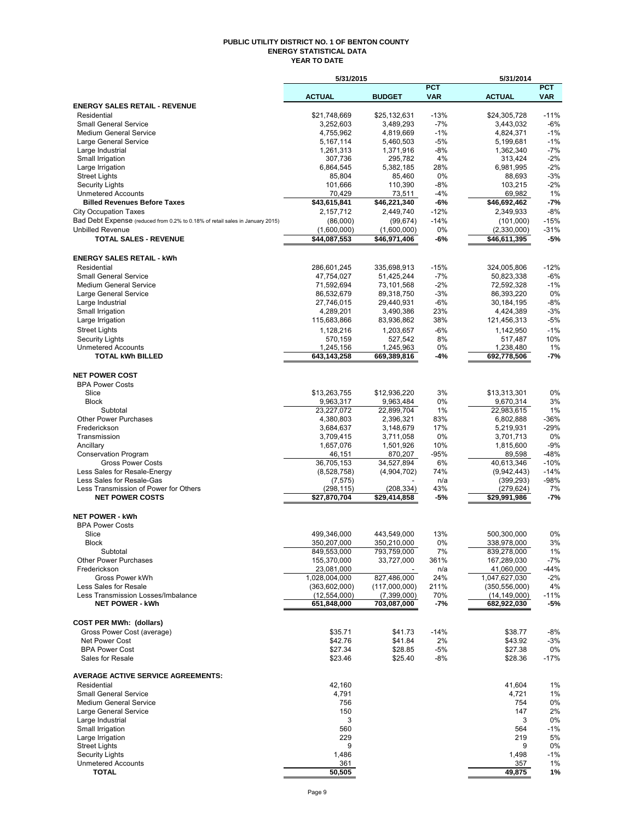#### **PUBLIC UTILITY DISTRICT NO. 1 OF BENTON COUNTY ENERGY STATISTICAL DATA YEAR TO DATE**

|                                                                               | 5/31/2015                     |                            |                          | 5/31/2014                     |                          |
|-------------------------------------------------------------------------------|-------------------------------|----------------------------|--------------------------|-------------------------------|--------------------------|
|                                                                               | <b>ACTUAL</b>                 | <b>BUDGET</b>              | <b>PCT</b><br><b>VAR</b> | <b>ACTUAL</b>                 | <b>PCT</b><br><b>VAR</b> |
| <b>ENERGY SALES RETAIL - REVENUE</b>                                          |                               |                            |                          |                               |                          |
| Residential                                                                   | \$21,748,669                  | \$25,132,631               | $-13%$                   | \$24,305,728                  | $-11%$                   |
| <b>Small General Service</b>                                                  | 3,252,603                     | 3,489,293                  | $-7%$                    | 3,443,032                     | $-6%$                    |
| <b>Medium General Service</b>                                                 | 4,755,962                     | 4,819,669                  | $-1%$                    | 4,824,371                     | $-1%$                    |
| Large General Service<br>Large Industrial                                     | 5,167,114<br>1,261,313        | 5,460,503<br>1,371,916     | $-5%$<br>-8%             | 5,199,681<br>1,362,340        | $-1%$<br>$-7%$           |
| Small Irrigation                                                              | 307,736                       | 295,782                    | 4%                       | 313,424                       | $-2%$                    |
| Large Irrigation                                                              | 6,864,545                     | 5,382,185                  | 28%                      | 6,981,995                     | $-2%$                    |
| <b>Street Lights</b>                                                          | 85,804                        | 85,460                     | 0%                       | 88,693                        | $-3%$                    |
| <b>Security Lights</b>                                                        | 101,666                       | 110,390                    | $-8%$                    | 103,215                       | $-2%$                    |
| <b>Unmetered Accounts</b><br><b>Billed Revenues Before Taxes</b>              | 70,429<br>\$43,615,841        | 73,511<br>\$46,221,340     | -4%<br>-6%               | 69,982<br>\$46,692,462        | 1%<br>$-7%$              |
| <b>City Occupation Taxes</b>                                                  | 2,157,712                     | 2,449,740                  | $-12%$                   | 2,349,933                     | $-8%$                    |
| Bad Debt Expense (reduced from 0.2% to 0.18% of retail sales in January 2015) | (86,000)                      | (99, 674)                  | $-14%$                   | (101,000)                     | $-15%$                   |
| <b>Unbilled Revenue</b>                                                       | (1,600,000)                   | (1,600,000)                | 0%                       | (2,330,000)                   | $-31%$                   |
| <b>TOTAL SALES - REVENUE</b>                                                  | \$44,087,553                  | \$46,971,406               | -6%                      | \$46,611,395                  | $-5%$                    |
| <b>ENERGY SALES RETAIL - kWh</b>                                              |                               |                            |                          |                               |                          |
| Residential                                                                   | 286,601,245                   | 335,698,913                | $-15%$                   | 324,005,806                   | $-12%$                   |
| <b>Small General Service</b>                                                  | 47,754,027                    | 51,425,244                 | $-7%$                    | 50,823,338                    | $-6%$                    |
| Medium General Service                                                        | 71,592,694                    | 73,101,568                 | $-2\%$                   | 72,592,328                    | $-1%$                    |
| Large General Service<br>Large Industrial                                     | 86,532,679<br>27,746,015      | 89,318,750<br>29,440,931   | $-3%$<br>-6%             | 86,393,220<br>30,184,195      | 0%<br>$-8%$              |
| Small Irrigation                                                              | 4,289,201                     | 3,490,386                  | 23%                      | 4,424,389                     | $-3%$                    |
| Large Irrigation                                                              | 115,683,866                   | 83,936,862                 | 38%                      | 121,456,313                   | $-5%$                    |
| <b>Street Lights</b>                                                          | 1,128,216                     | 1,203,657                  | -6%                      | 1,142,950                     | $-1%$                    |
| <b>Security Lights</b>                                                        | 570,159                       | 527,542                    | 8%                       | 517,487                       | 10%                      |
| <b>Unmetered Accounts</b>                                                     | 1,245,156                     | 1,245,963                  | 0%                       | 1,238,480                     | 1%                       |
| <b>TOTAL kWh BILLED</b>                                                       | 643,143,258                   | 669,389,816                | -4%                      | 692,778,506                   | -7%                      |
| <b>NET POWER COST</b>                                                         |                               |                            |                          |                               |                          |
| <b>BPA Power Costs</b>                                                        |                               |                            |                          |                               |                          |
| Slice                                                                         | \$13,263,755                  | \$12,936,220               | 3%                       | \$13,313,301                  | 0%                       |
| <b>Block</b><br>Subtotal                                                      | 9,963,317<br>23,227,072       | 9,963,484<br>22,899,704    | 0%<br>1%                 | 9,670,314<br>22,983,615       | 3%<br>1%                 |
| <b>Other Power Purchases</b>                                                  | 4,380,803                     | 2,396,321                  | 83%                      | 6,802,888                     | -36%                     |
| Frederickson                                                                  | 3,684,637                     | 3,148,679                  | 17%                      | 5,219,931                     | $-29%$                   |
| Transmission                                                                  | 3,709,415                     | 3,711,058                  | 0%                       | 3,701,713                     | 0%                       |
| Ancillary                                                                     | 1,657,076                     | 1,501,926                  | 10%                      | 1,815,600                     | $-9%$                    |
| <b>Conservation Program</b>                                                   | 46,151                        | 870,207                    | $-95%$                   | 89,598                        | $-48%$                   |
| <b>Gross Power Costs</b>                                                      | 36,705,153                    | 34,527,894                 | 6%                       | 40,613,346                    | $-10%$                   |
| Less Sales for Resale-Energy<br>Less Sales for Resale-Gas                     | (8,528,758)                   | (4,904,702)                | 74%<br>n/a               | (9,942,443)<br>(399, 293)     | $-14%$<br>$-98%$         |
| Less Transmission of Power for Others                                         | (7, 575)<br>(298, 115)        | (208, 334)                 | 43%                      | (279, 624)                    | 7%                       |
| <b>NET POWER COSTS</b>                                                        | \$27,870,704                  | $\overline{$}29,414,858$   | -5%                      | \$29,991,986                  | $-7%$                    |
| <b>NET POWER - kWh</b>                                                        |                               |                            |                          |                               |                          |
| <b>BPA Power Costs</b>                                                        |                               |                            |                          |                               |                          |
| Slice                                                                         | 499,346,000                   | 443,549,000                | 13%                      | 500,300,000                   | 0%                       |
| Block                                                                         | 350,207,000                   | 350,210,000                | 0%                       | 338,978,000                   | 3%                       |
| Subtotal<br><b>Other Power Purchases</b>                                      | 849,553,000<br>155,370,000    | 793,759,000<br>33,727,000  | 7%<br>361%               | 839,278,000<br>167,289,030    | 1%<br>$-7%$              |
| Frederickson                                                                  | 23,081,000                    |                            | n/a                      | 41,060,000                    | $-44%$                   |
| Gross Power kWh                                                               | 1,028,004,000                 | 827,486,000                | 24%                      | 1,047,627,030                 | $-2%$                    |
| Less Sales for Resale                                                         | (363,602,000)                 | (117,000,000)              | 211%                     | (350, 556, 000)               | 4%                       |
| Less Transmission Losses/Imbalance<br><b>NET POWER - kWh</b>                  | (12, 554, 000)<br>651,848,000 | (7,399,000)<br>703,087,000 | 70%<br>-7%               | (14, 149, 000)<br>682,922,030 | -11%<br>-5%              |
|                                                                               |                               |                            |                          |                               |                          |
| <b>COST PER MWh: (dollars)</b>                                                |                               |                            |                          |                               |                          |
| Gross Power Cost (average)                                                    | \$35.71                       | \$41.73                    | $-14%$                   | \$38.77                       | $-8%$                    |
| Net Power Cost<br><b>BPA Power Cost</b>                                       | \$42.76<br>\$27.34            | \$41.84                    | 2%<br>-5%                | \$43.92                       | $-3%$                    |
| Sales for Resale                                                              | \$23.46                       | \$28.85<br>\$25.40         | -8%                      | \$27.38<br>\$28.36            | 0%<br>$-17%$             |
| <b>AVERAGE ACTIVE SERVICE AGREEMENTS:</b>                                     |                               |                            |                          |                               |                          |
| Residential                                                                   | 42,160                        |                            |                          | 41,604                        | 1%                       |
| <b>Small General Service</b>                                                  | 4,791                         |                            |                          | 4,721                         | 1%                       |
| <b>Medium General Service</b>                                                 | 756                           |                            |                          | 754                           | 0%                       |
| Large General Service                                                         | 150                           |                            |                          | 147                           | 2%                       |
| Large Industrial                                                              | 3                             |                            |                          | 3                             | 0%                       |
| Small Irrigation                                                              | 560                           |                            |                          | 564                           | $-1%$                    |
| Large Irrigation<br><b>Street Lights</b>                                      | 229<br>9                      |                            |                          | 219<br>9                      | 5%<br>0%                 |
| <b>Security Lights</b>                                                        | 1,486                         |                            |                          | 1,498                         | $-1%$                    |
| <b>Unmetered Accounts</b>                                                     | 361                           |                            |                          | 357                           | 1%                       |
| <b>TOTAL</b>                                                                  | 50,505                        |                            |                          | 49,875                        | 1%                       |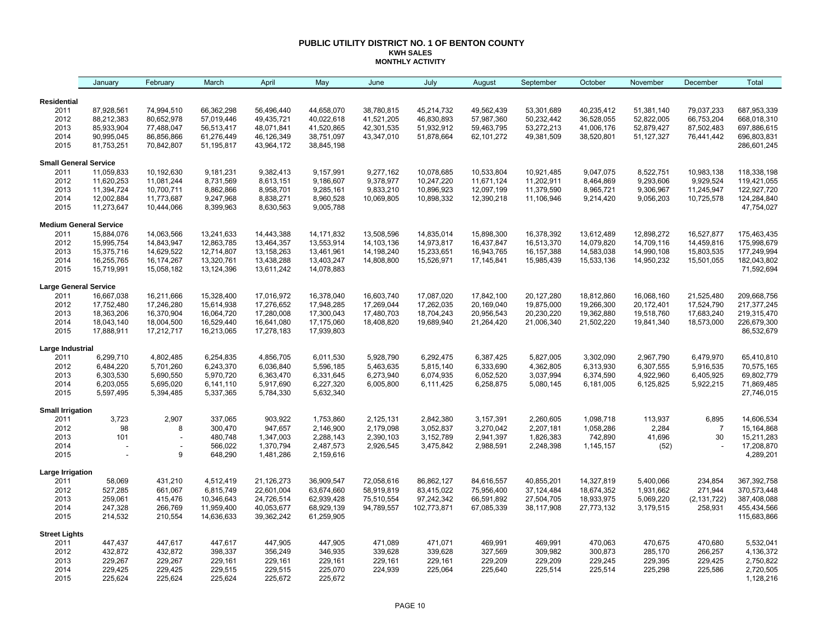#### **PUBLIC UTILITY DISTRICT NO. 1 OF BENTON COUNTY KWH SALES MONTHLY ACTIVITY**

|                              | January                       | February                 | March                    | April                    | May                      | June       | July        | August     | September  | October    | November     | December       | Total                     |
|------------------------------|-------------------------------|--------------------------|--------------------------|--------------------------|--------------------------|------------|-------------|------------|------------|------------|--------------|----------------|---------------------------|
| Residential                  |                               |                          |                          |                          |                          |            |             |            |            |            |              |                |                           |
| 2011                         | 87,928,561                    | 74,994,510               | 66,362,298               | 56,496,440               | 44,658,070               | 38,780,815 | 45,214,732  | 49,562,439 | 53,301,689 | 40,235,412 | 51,381,140   | 79,037,233     | 687,953,339               |
| 2012                         | 88,212,383                    | 80,652,978               | 57,019,446               | 49,435,721               | 40,022,618               | 41,521,205 | 46,830,893  | 57,987,360 | 50,232,442 | 36,528,055 | 52,822,005   | 66,753,204     | 668,018,310               |
| 2013                         | 85,933,904                    | 77,488,047               | 56,513,417               | 48,071,841               | 41,520,865               | 42,301,535 | 51,932,912  | 59,463,795 | 53,272,213 | 41,006,176 | 52,879,427   | 87,502,483     | 697,886,615               |
| 2014                         | 90,995,045                    | 86,856,866               | 61,276,449               | 46,126,349               | 38,751,097               | 43,347,010 | 51,878,664  | 62,101,272 | 49,381,509 | 38,520,801 | 51, 127, 327 | 76,441,442     | 696,803,831               |
| 2015                         | 81,753,251                    | 70,842,807               | 51,195,817               | 43,964,172               | 38,845,198               |            |             |            |            |            |              |                | 286,601,245               |
| <b>Small General Service</b> |                               |                          |                          |                          |                          |            |             |            |            |            |              |                |                           |
| 2011                         | 11,059,833                    | 10,192,630               | 9,181,231                | 9,382,413                | 9,157,991                | 9,277,162  | 10,078,685  | 10,533,804 | 10,921,485 | 9,047,075  | 8,522,751    | 10,983,138     | 118,338,198               |
| 2012                         | 11,620,253                    | 11,081,244               | 8,731,569                | 8,613,151                | 9,186,607                | 9,378,977  | 10,247,220  | 11,671,124 | 11,202,911 | 8,464,869  | 9,293,606    | 9,929,524      | 119,421,055               |
| 2013                         | 11,394,724                    | 10,700,711               | 8,862,866                | 8,958,701                | 9,285,161                | 9,833,210  | 10,896,923  | 12,097,199 | 11,379,590 | 8,965,721  | 9,306,967    | 11,245,947     | 122,927,720               |
| 2014                         | 12,002,884                    | 11,773,687               | 9,247,968                | 8,838,271                | 8,960,528                | 10,069,805 | 10,898,332  | 12,390,218 | 11,106,946 | 9,214,420  | 9,056,203    | 10,725,578     | 124,284,840               |
| 2015                         | 11,273,647                    | 10,444,066               | 8,399,963                | 8,630,563                | 9,005,788                |            |             |            |            |            |              |                | 47,754,027                |
|                              | <b>Medium General Service</b> |                          |                          |                          |                          |            |             |            |            |            |              |                |                           |
| 2011                         | 15,884,076                    | 14,063,566               | 13,241,633               | 14,443,388               | 14, 171, 832             | 13,508,596 | 14,835,014  | 15,898,300 | 16,378,392 | 13,612,489 | 12,898,272   | 16,527,877     | 175,463,435               |
| 2012                         | 15,995,754                    | 14,843,947               | 12,863,785               | 13,464,357               | 13,553,914               | 14,103,136 | 14,973,817  | 16,437,847 | 16,513,370 | 14,079,820 | 14,709,116   | 14,459,816     | 175,998,679               |
| 2013                         | 15,375,716                    | 14,629,522               | 12,714,807               | 13,158,263               | 13,461,961               | 14,198,240 | 15,233,651  | 16,943,765 | 16,157,388 | 14,583,038 | 14,990,108   | 15,803,535     | 177,249,994               |
| 2014<br>2015                 | 16,255,765<br>15,719,991      | 16,174,267<br>15,058,182 | 13,320,761<br>13,124,396 | 13,438,288<br>13,611,242 | 13,403,247<br>14,078,883 | 14,808,800 | 15,526,971  | 17,145,841 | 15,985,439 | 15,533,136 | 14,950,232   | 15,501,055     | 182,043,802<br>71,592,694 |
| <b>Large General Service</b> |                               |                          |                          |                          |                          |            |             |            |            |            |              |                |                           |
| 2011                         | 16,667,038                    | 16,211,666               | 15,328,400               | 17,016,972               | 16,378,040               | 16,603,740 | 17,087,020  | 17,842,100 | 20,127,280 | 18,812,860 | 16,068,160   | 21,525,480     | 209,668,756               |
| 2012                         | 17,752,480                    | 17,246,280               | 15,614,938               | 17,276,652               | 17,948,285               | 17,269,044 | 17,262,035  | 20,169,040 | 19,875,000 | 19,266,300 | 20,172,401   | 17,524,790     | 217, 377, 245             |
| 2013                         | 18,363,206                    | 16,370,904               | 16,064,720               | 17,280,008               | 17,300,043               | 17,480,703 | 18,704,243  | 20,956,543 | 20,230,220 | 19,362,880 | 19,518,760   | 17,683,240     | 219,315,470               |
| 2014                         | 18,043,140                    | 18,004,500               | 16,529,440               | 16,641,080               | 17,175,060               | 18,408,820 | 19,689,940  | 21,264,420 | 21,006,340 | 21,502,220 | 19,841,340   | 18,573,000     | 226,679,300               |
| 2015                         | 17,888,911                    | 17,212,717               | 16,213,065               | 17,278,183               | 17,939,803               |            |             |            |            |            |              |                | 86,532,679                |
| Large Industrial             |                               |                          |                          |                          |                          |            |             |            |            |            |              |                |                           |
| 2011                         | 6,299,710                     | 4,802,485                | 6,254,835                | 4,856,705                | 6,011,530                | 5,928,790  | 6,292,475   | 6,387,425  | 5,827,005  | 3,302,090  | 2,967,790    | 6,479,970      | 65,410,810                |
| 2012                         | 6,484,220                     | 5,701,260                | 6,243,370                | 6,036,840                | 5,596,185                | 5,463,635  | 5,815,140   | 6,333,690  | 4,362,805  | 6,313,930  | 6,307,555    | 5,916,535      | 70,575,165                |
| 2013                         | 6,303,530                     | 5,690,550                | 5,970,720                | 6,363,470                | 6,331,645                | 6,273,940  | 6,074,935   | 6,052,520  | 3,037,994  | 6,374,590  | 4,922,960    | 6,405,925      | 69,802,779                |
| 2014                         | 6,203,055                     | 5,695,020                | 6,141,110                | 5,917,690                | 6,227,320                | 6,005,800  | 6,111,425   | 6,258,875  | 5,080,145  | 6,181,005  | 6,125,825    | 5,922,215      | 71,869,485                |
| 2015                         | 5,597,495                     | 5,394,485                | 5,337,365                | 5,784,330                | 5,632,340                |            |             |            |            |            |              |                | 27,746,015                |
| <b>Small Irrigation</b>      |                               |                          |                          |                          |                          |            |             |            |            |            |              |                |                           |
| 2011                         | 3,723                         | 2,907                    | 337,065                  | 903,922                  | 1,753,860                | 2,125,131  | 2,842,380   | 3,157,391  | 2,260,605  | 1,098,718  | 113,937      | 6,895          | 14,606,534                |
| 2012                         | 98                            | 8                        | 300,470                  | 947,657                  | 2,146,900                | 2,179,098  | 3,052,837   | 3,270,042  | 2,207,181  | 1,058,286  | 2,284        | $\overline{7}$ | 15, 164, 868              |
| 2013<br>2014                 | 101                           | $\overline{\phantom{a}}$ | 480,748<br>566,022       | 1,347,003                | 2,288,143                | 2,390,103  | 3,152,789   | 2,941,397  | 1,826,383  | 742,890    | 41,696       | 30             | 15,211,283                |
| 2015                         |                               | 9                        | 648,290                  | 1,370,794<br>1,481,286   | 2,487,573<br>2,159,616   | 2,926,545  | 3,475,842   | 2,988,591  | 2,248,398  | 1,145,157  | (52)         |                | 17,208,870<br>4,289,201   |
| Large Irrigation             |                               |                          |                          |                          |                          |            |             |            |            |            |              |                |                           |
| 2011                         | 58,069                        | 431,210                  | 4,512,419                | 21,126,273               | 36,909,547               | 72,058,616 | 86,862,127  | 84,616,557 | 40,855,201 | 14,327,819 | 5,400,066    | 234,854        | 367,392,758               |
| 2012                         | 527,285                       | 661,067                  | 6,815,749                | 22,601,004               | 63,674,660               | 58,919,819 | 83,415,022  | 75,956,400 | 37,124,484 | 18,674,352 | 1,931,662    | 271,944        | 370,573,448               |
| 2013                         | 259,061                       | 415,476                  | 10,346,643               | 24,726,514               | 62,939,428               | 75,510,554 | 97,242,342  | 66,591,892 | 27,504,705 | 18,933,975 | 5,069,220    | (2, 131, 722)  | 387,408,088               |
| 2014                         | 247,328                       | 266,769                  | 11,959,400               | 40,053,677               | 68,929,139               | 94,789,557 | 102,773,871 | 67,085,339 | 38,117,908 | 27,773,132 | 3,179,515    | 258,931        | 455,434,566               |
| 2015                         | 214,532                       | 210,554                  | 14,636,633               | 39,362,242               | 61,259,905               |            |             |            |            |            |              |                | 115,683,866               |
| <b>Street Lights</b>         |                               |                          |                          |                          |                          |            |             |            |            |            |              |                |                           |
| 2011                         | 447,437                       | 447,617                  | 447,617                  | 447,905                  | 447,905                  | 471,089    | 471,071     | 469,991    | 469,991    | 470,063    | 470,675      | 470,680        | 5,532,041                 |
| 2012                         | 432,872                       | 432,872                  | 398,337                  | 356,249                  | 346,935                  | 339,628    | 339,628     | 327,569    | 309,982    | 300,873    | 285,170      | 266,257        | 4,136,372                 |
| 2013                         | 229,267                       | 229,267                  | 229,161                  | 229,161                  | 229,161                  | 229,161    | 229,161     | 229,209    | 229,209    | 229,245    | 229,395      | 229,425        | 2,750,822                 |
| 2014                         | 229,425                       | 229,425                  | 229,515                  | 229,515                  | 225,070                  | 224,939    | 225,064     | 225,640    | 225,514    | 225,514    | 225,298      | 225,586        | 2,720,505                 |
| 2015                         | 225,624                       | 225,624                  | 225,624                  | 225,672                  | 225,672                  |            |             |            |            |            |              |                | 1,128,216                 |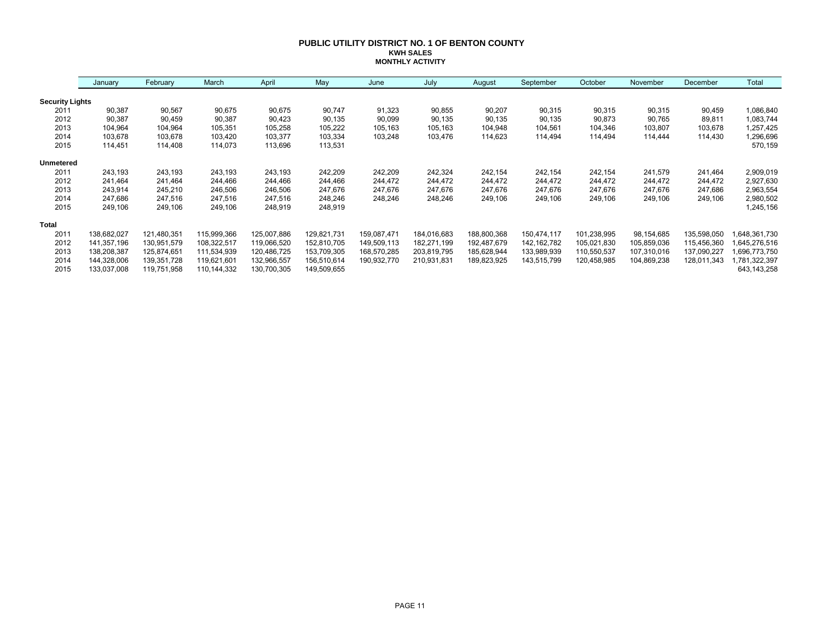#### **PUBLIC UTILITY DISTRICT NO. 1 OF BENTON COUNTY KWH SALES MONTHLY ACTIVITY**

|                        | January     | February    | March       | April       | May         | June        | July        | August      | September     | October     | November    | December    | Total        |
|------------------------|-------------|-------------|-------------|-------------|-------------|-------------|-------------|-------------|---------------|-------------|-------------|-------------|--------------|
| <b>Security Lights</b> |             |             |             |             |             |             |             |             |               |             |             |             |              |
| 2011                   | 90,387      | 90,567      | 90,675      | 90,675      | 90,747      | 91,323      | 90,855      | 90,207      | 90,315        | 90,315      | 90,315      | 90,459      | 1,086,840    |
| 2012                   | 90,387      | 90,459      | 90,387      | 90,423      | 90,135      | 90,099      | 90,135      | 90,135      | 90,135        | 90,873      | 90,765      | 89,811      | 1,083,744    |
| 2013                   | 104,964     | 104,964     | 105,351     | 105,258     | 105,222     | 105,163     | 105,163     | 104,948     | 104,561       | 104,346     | 103,807     | 103,678     | 1,257,425    |
| 2014                   | 103,678     | 103,678     | 103,420     | 103,377     | 103,334     | 103,248     | 103,476     | 114,623     | 114,494       | 114,494     | 114,444     | 114,430     | 1,296,696    |
| 2015                   | 114,451     | 114,408     | 114,073     | 113,696     | 113,531     |             |             |             |               |             |             |             | 570,159      |
| <b>Unmetered</b>       |             |             |             |             |             |             |             |             |               |             |             |             |              |
| 2011                   | 243,193     | 243,193     | 243,193     | 243,193     | 242,209     | 242,209     | 242,324     | 242,154     | 242,154       | 242,154     | 241,579     | 241,464     | 2,909,019    |
| 2012                   | 241,464     | 241,464     | 244,466     | 244,466     | 244,466     | 244,472     | 244,472     | 244,472     | 244,472       | 244,472     | 244,472     | 244,472     | 2,927,630    |
| 2013                   | 243,914     | 245,210     | 246,506     | 246,506     | 247,676     | 247,676     | 247,676     | 247,676     | 247,676       | 247,676     | 247,676     | 247,686     | 2,963,554    |
| 2014                   | 247,686     | 247,516     | 247,516     | 247,516     | 248,246     | 248,246     | 248,246     | 249,106     | 249,106       | 249,106     | 249,106     | 249,106     | 2,980,502    |
| 2015                   | 249,106     | 249,106     | 249,106     | 248,919     | 248,919     |             |             |             |               |             |             |             | 1,245,156    |
| <b>Total</b>           |             |             |             |             |             |             |             |             |               |             |             |             |              |
| 2011                   | 138,682,027 | 121,480,351 | 115,999,366 | 125,007,886 | 129,821,731 | 159,087,471 | 184,016,683 | 188,800,368 | 150,474,117   | 101,238,995 | 98,154,685  | 135,598,050 | 648,361,730  |
| 2012                   | 141,357,196 | 130,951,579 | 108,322,517 | 119,066,520 | 152,810,705 | 149,509,113 | 182,271,199 | 192,487,679 | 142, 162, 782 | 105,021,830 | 105,859,036 | 115,456,360 | 645,276,516  |
| 2013                   | 138,208,387 | 125,874,651 | 111,534,939 | 120,486,725 | 153,709,305 | 168,570,285 | 203,819,795 | 185,628,944 | 133,989,939   | 110,550,537 | 107,310,016 | 137,090,227 | .696,773,750 |
| 2014                   | 144,328,006 | 139,351,728 | 119,621,601 | 132,966,557 | 156,510,614 | 190,932,770 | 210,931,831 | 189,823,925 | 143,515,799   | 120,458,985 | 104,869,238 | 128,011,343 | ,781,322,397 |
| 2015                   | 133,037,008 | 119,751,958 | 110,144,332 | 130,700,305 | 149,509,655 |             |             |             |               |             |             |             | 643,143,258  |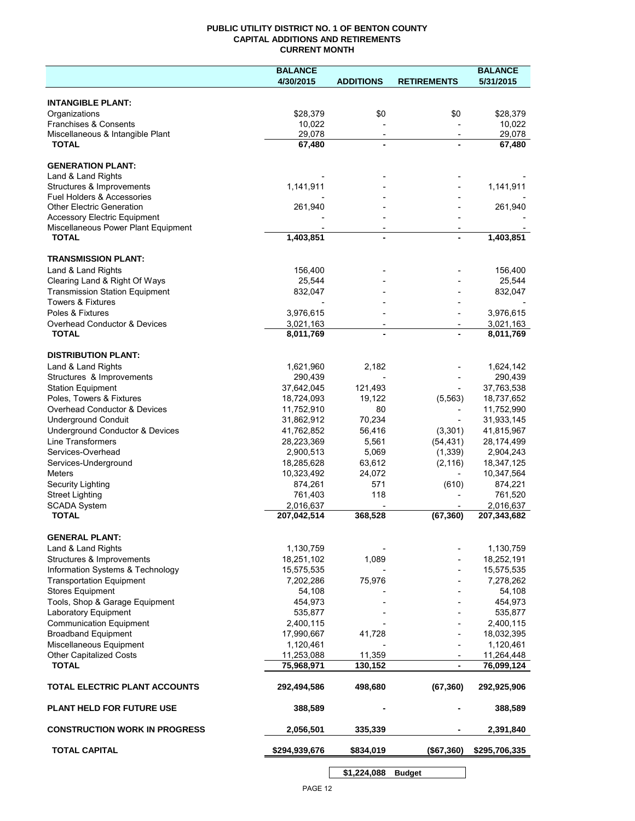# **PUBLIC UTILITY DISTRICT NO. 1 OF BENTON COUNTY CAPITAL ADDITIONS AND RETIREMENTS CURRENT MONTH**

|                                                                            | <b>BALANCE</b>           |                          |                          | <b>BALANCE</b>           |
|----------------------------------------------------------------------------|--------------------------|--------------------------|--------------------------|--------------------------|
|                                                                            | 4/30/2015                | <b>ADDITIONS</b>         | <b>RETIREMENTS</b>       | 5/31/2015                |
| <b>INTANGIBLE PLANT:</b>                                                   |                          |                          |                          |                          |
| Organizations                                                              | \$28,379                 | \$0                      | \$0                      | \$28,379                 |
| Franchises & Consents                                                      | 10,022                   |                          |                          | 10,022                   |
| Miscellaneous & Intangible Plant                                           | 29,078                   | $\overline{\phantom{a}}$ | $\overline{\phantom{a}}$ | 29,078                   |
| <b>TOTAL</b>                                                               | 67,480                   | $\blacksquare$           |                          | 67,480                   |
| <b>GENERATION PLANT:</b>                                                   |                          |                          |                          |                          |
| Land & Land Rights                                                         |                          |                          |                          |                          |
| Structures & Improvements                                                  | 1,141,911                |                          |                          | 1,141,911                |
| Fuel Holders & Accessories                                                 |                          |                          |                          |                          |
| <b>Other Electric Generation</b>                                           | 261,940                  |                          |                          | 261,940                  |
| <b>Accessory Electric Equipment</b><br>Miscellaneous Power Plant Equipment |                          |                          |                          |                          |
| <b>TOTAL</b>                                                               | 1,403,851                | $\blacksquare$           |                          | 1,403,851                |
|                                                                            |                          |                          |                          |                          |
| <b>TRANSMISSION PLANT:</b>                                                 |                          |                          |                          |                          |
| Land & Land Rights                                                         | 156,400                  |                          |                          | 156,400<br>25,544        |
| Clearing Land & Right Of Ways<br><b>Transmission Station Equipment</b>     | 25,544<br>832,047        |                          |                          | 832,047                  |
| <b>Towers &amp; Fixtures</b>                                               |                          |                          |                          |                          |
| Poles & Fixtures                                                           | 3,976,615                |                          |                          | 3,976,615                |
| Overhead Conductor & Devices                                               | 3,021,163                |                          |                          | 3,021,163                |
| <b>TOTAL</b>                                                               | 8,011,769                |                          |                          | 8,011,769                |
| <b>DISTRIBUTION PLANT:</b>                                                 |                          |                          |                          |                          |
| Land & Land Rights                                                         | 1,621,960                | 2,182                    |                          | 1,624,142                |
| Structures & Improvements                                                  | 290,439                  |                          |                          | 290,439                  |
| <b>Station Equipment</b>                                                   | 37,642,045               | 121,493                  |                          | 37,763,538               |
| Poles, Towers & Fixtures                                                   | 18,724,093               | 19,122                   | (5, 563)                 | 18,737,652               |
| Overhead Conductor & Devices                                               | 11,752,910               | 80                       |                          | 11,752,990               |
| <b>Underground Conduit</b>                                                 | 31,862,912               | 70,234                   |                          | 31,933,145               |
| Underground Conductor & Devices                                            | 41,762,852               | 56,416                   | (3,301)                  | 41,815,967               |
| Line Transformers                                                          | 28,223,369               | 5,561                    | (54, 431)                | 28,174,499               |
| Services-Overhead                                                          | 2,900,513                | 5,069                    | (1, 339)                 | 2,904,243                |
| Services-Underground                                                       | 18,285,628               | 63,612                   | (2, 116)                 | 18,347,125               |
| <b>Meters</b>                                                              | 10,323,492               | 24,072                   | $\overline{\phantom{a}}$ | 10,347,564               |
| Security Lighting                                                          | 874,261                  | 571                      | (610)                    | 874,221                  |
| <b>Street Lighting</b>                                                     | 761,403                  | 118                      |                          | 761,520                  |
| <b>SCADA System</b><br><b>TOTAL</b>                                        | 2,016,637<br>207,042,514 | 368,528                  | (67, 360)                | 2,016,637<br>207,343,682 |
|                                                                            |                          |                          |                          |                          |
| <b>GENERAL PLANT:</b>                                                      |                          |                          |                          |                          |
| Land & Land Rights                                                         | 1,130,759                |                          |                          | 1,130,759                |
| Structures & Improvements                                                  | 18,251,102               | 1,089                    |                          | 18,252,191               |
| Information Systems & Technology                                           | 15,575,535               |                          |                          | 15,575,535               |
| <b>Transportation Equipment</b>                                            | 7,202,286                | 75,976                   |                          | 7,278,262                |
| Stores Equipment                                                           | 54,108                   |                          |                          | 54,108                   |
| Tools, Shop & Garage Equipment                                             | 454,973                  |                          |                          | 454,973                  |
| Laboratory Equipment                                                       | 535,877                  |                          |                          | 535,877                  |
| <b>Communication Equipment</b><br><b>Broadband Equipment</b>               | 2,400,115<br>17,990,667  | 41,728                   |                          | 2,400,115<br>18,032,395  |
| Miscellaneous Equipment                                                    | 1,120,461                |                          |                          | 1,120,461                |
| <b>Other Capitalized Costs</b>                                             | 11,253,088               | 11,359                   |                          | 11,264,448               |
| <b>TOTAL</b>                                                               | 75,968,971               | 130,152                  | $\blacksquare$           | 76,099,124               |
| TOTAL ELECTRIC PLANT ACCOUNTS                                              | 292,494,586              | 498,680                  | (67, 360)                | 292,925,906              |
| <b>PLANT HELD FOR FUTURE USE</b>                                           | 388,589                  |                          |                          | 388,589                  |
| <b>CONSTRUCTION WORK IN PROGRESS</b>                                       | 2,056,501                | 335,339                  |                          | 2,391,840                |
| <b>TOTAL CAPITAL</b>                                                       | \$294,939,676            | \$834,019                | (\$67,360)               | \$295,706,335            |
|                                                                            |                          |                          |                          |                          |

**\$1,224,088 Budget**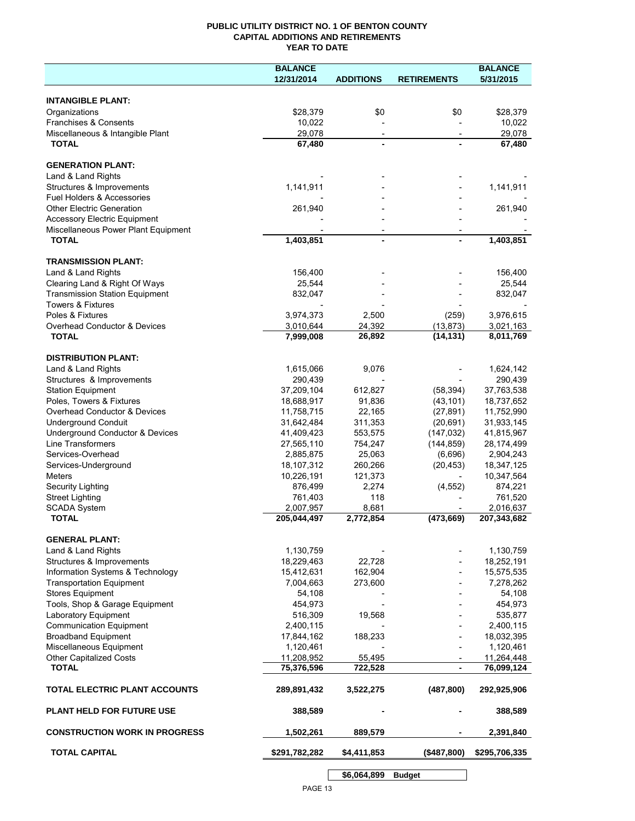# **PUBLIC UTILITY DISTRICT NO. 1 OF BENTON COUNTY CAPITAL ADDITIONS AND RETIREMENTS YEAR TO DATE**

|                                       | <b>BALANCE</b> |                          |                          | <b>BALANCE</b> |
|---------------------------------------|----------------|--------------------------|--------------------------|----------------|
|                                       | 12/31/2014     | <b>ADDITIONS</b>         | <b>RETIREMENTS</b>       | 5/31/2015      |
|                                       |                |                          |                          |                |
| <b>INTANGIBLE PLANT:</b>              |                |                          |                          |                |
| Organizations                         | \$28,379       | \$0                      | \$0                      | \$28,379       |
| Franchises & Consents                 | 10,022         |                          |                          | 10,022         |
| Miscellaneous & Intangible Plant      | 29,078         | $\overline{\phantom{a}}$ | $\overline{\phantom{a}}$ | 29,078         |
| <b>TOTAL</b>                          | 67,480         |                          |                          | 67,480         |
|                                       |                |                          |                          |                |
| <b>GENERATION PLANT:</b>              |                |                          |                          |                |
| Land & Land Rights                    |                |                          |                          |                |
| Structures & Improvements             | 1,141,911      |                          |                          | 1,141,911      |
| Fuel Holders & Accessories            |                |                          |                          |                |
| <b>Other Electric Generation</b>      | 261,940        |                          |                          | 261,940        |
| <b>Accessory Electric Equipment</b>   |                |                          |                          |                |
| Miscellaneous Power Plant Equipment   |                |                          |                          |                |
| <b>TOTAL</b>                          | 1,403,851      |                          |                          | 1,403,851      |
|                                       |                |                          |                          |                |
| <b>TRANSMISSION PLANT:</b>            |                |                          |                          |                |
| Land & Land Rights                    | 156,400        |                          |                          | 156,400        |
| Clearing Land & Right Of Ways         | 25,544         |                          |                          | 25,544         |
| <b>Transmission Station Equipment</b> | 832,047        |                          |                          | 832,047        |
| Towers & Fixtures                     |                |                          |                          |                |
| Poles & Fixtures                      | 3,974,373      | 2,500                    | (259)                    | 3,976,615      |
| Overhead Conductor & Devices          | 3,010,644      | 24,392                   | (13, 873)                | 3,021,163      |
| <b>TOTAL</b>                          | 7,999,008      | 26,892                   | (14, 131)                | 8,011,769      |
|                                       |                |                          |                          |                |
| <b>DISTRIBUTION PLANT:</b>            |                |                          |                          |                |
| Land & Land Rights                    | 1,615,066      | 9,076                    |                          | 1,624,142      |
| Structures & Improvements             | 290,439        |                          |                          | 290,439        |
| <b>Station Equipment</b>              | 37,209,104     | 612,827                  | (58, 394)                | 37,763,538     |
| Poles, Towers & Fixtures              | 18,688,917     | 91,836                   | (43, 101)                | 18,737,652     |
| Overhead Conductor & Devices          | 11,758,715     | 22,165                   | (27, 891)                | 11,752,990     |
| <b>Underground Conduit</b>            | 31,642,484     | 311,353                  | (20, 691)                | 31,933,145     |
| Underground Conductor & Devices       | 41,409,423     | 553,575                  | (147, 032)               | 41,815,967     |
| Line Transformers                     | 27,565,110     | 754,247                  | (144, 859)               | 28,174,499     |
| Services-Overhead                     | 2,885,875      | 25,063                   | (6,696)                  | 2,904,243      |
| Services-Underground                  | 18,107,312     | 260,266                  | (20, 453)                | 18,347,125     |
| <b>Meters</b>                         | 10,226,191     | 121,373                  |                          | 10,347,564     |
| Security Lighting                     | 876,499        | 2,274                    | (4, 552)                 | 874,221        |
| <b>Street Lighting</b>                | 761,403        | 118                      |                          | 761,520        |
| <b>SCADA System</b>                   | 2,007,957      | 8,681                    |                          | 2,016,637      |
| <b>TOTAL</b>                          | 205,044,497    | 2,772,854                | (473, 669)               | 207,343,682    |
|                                       |                |                          |                          |                |
| <b>GENERAL PLANT:</b>                 |                |                          |                          |                |
| Land & Land Rights                    | 1,130,759      |                          |                          | 1,130,759      |
| Structures & Improvements             | 18,229,463     | 22,728                   |                          | 18,252,191     |
| Information Systems & Technology      | 15,412,631     | 162,904                  |                          | 15,575,535     |
| <b>Transportation Equipment</b>       | 7,004,663      | 273,600                  |                          | 7,278,262      |
| <b>Stores Equipment</b>               | 54,108         |                          |                          | 54,108         |
| Tools, Shop & Garage Equipment        | 454,973        |                          |                          | 454,973        |
| Laboratory Equipment                  | 516,309        | 19,568                   |                          | 535,877        |
| <b>Communication Equipment</b>        | 2,400,115      |                          |                          | 2,400,115      |
| <b>Broadband Equipment</b>            | 17,844,162     | 188,233                  |                          | 18,032,395     |
| Miscellaneous Equipment               | 1,120,461      |                          |                          | 1,120,461      |
| Other Capitalized Costs               | 11,208,952     | 55,495                   |                          | 11,264,448     |
| <b>TOTAL</b>                          | 75,376,596     | 722,528                  | -                        | 76,099,124     |
|                                       |                |                          |                          |                |
| <b>TOTAL ELECTRIC PLANT ACCOUNTS</b>  | 289,891,432    | 3,522,275                | (487, 800)               | 292,925,906    |
|                                       |                |                          |                          |                |
| <b>PLANT HELD FOR FUTURE USE</b>      | 388,589        |                          |                          | 388,589        |
|                                       |                |                          |                          |                |
| <b>CONSTRUCTION WORK IN PROGRESS</b>  | 1,502,261      | 889,579                  |                          | 2,391,840      |
|                                       |                |                          |                          |                |
| <b>TOTAL CAPITAL</b>                  | \$291,782,282  | \$4,411,853              | (\$487,800)              | \$295,706,335  |
|                                       |                |                          |                          |                |

**\$6,064,899 Budget**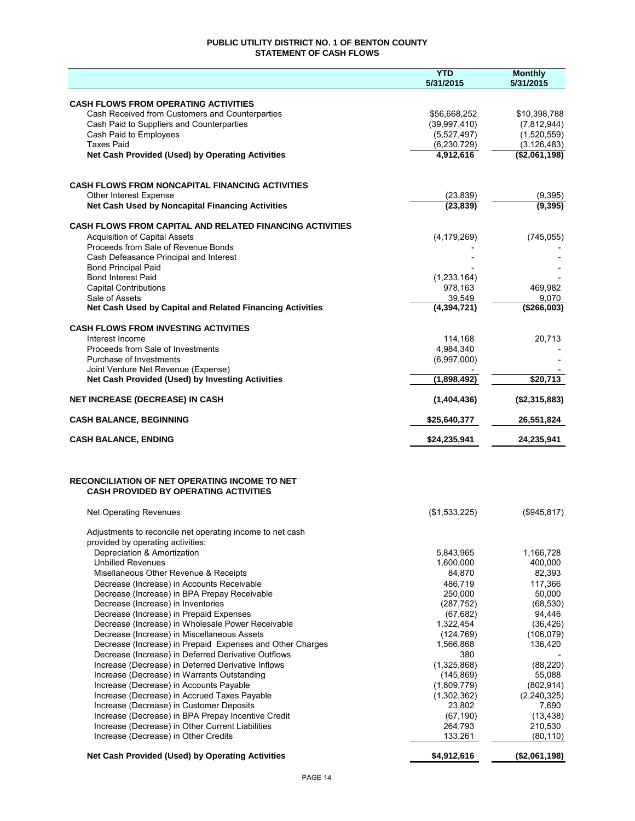# **PUBLIC UTILITY DISTRICT NO. 1 OF BENTON COUNTY STATEMENT OF CASH FLOWS**

|                                                                                                          | <b>YTD</b><br>5/31/2015  | <b>Monthly</b><br>5/31/2015 |
|----------------------------------------------------------------------------------------------------------|--------------------------|-----------------------------|
| <b>CASH FLOWS FROM OPERATING ACTIVITIES</b>                                                              |                          |                             |
| Cash Received from Customers and Counterparties                                                          | \$56,668,252             | \$10,398,788                |
| Cash Paid to Suppliers and Counterparties                                                                | (39, 997, 410)           | (7,812,944)                 |
| Cash Paid to Employees                                                                                   | (5,527,497)              | (1,520,559)                 |
| <b>Taxes Paid</b>                                                                                        | (6, 230, 729)            | (3, 126, 483)               |
| Net Cash Provided (Used) by Operating Activities                                                         | 4,912,616                | (\$2,061,198)               |
|                                                                                                          |                          |                             |
| <b>CASH FLOWS FROM NONCAPITAL FINANCING ACTIVITIES</b><br>Other Interest Expense                         | (23, 839)                | (9, 395)                    |
| Net Cash Used by Noncapital Financing Activities                                                         | (23, 839)                | (9, 395)                    |
| <b>CASH FLOWS FROM CAPITAL AND RELATED FINANCING ACTIVITIES</b>                                          |                          |                             |
| <b>Acquisition of Capital Assets</b>                                                                     | (4, 179, 269)            | (745, 055)                  |
| Proceeds from Sale of Revenue Bonds                                                                      |                          |                             |
| Cash Defeasance Principal and Interest                                                                   |                          |                             |
| <b>Bond Principal Paid</b><br><b>Bond Interest Paid</b>                                                  |                          |                             |
| <b>Capital Contributions</b>                                                                             | (1, 233, 164)<br>978,163 | 469,982                     |
| Sale of Assets                                                                                           | 39,549                   | 9,070                       |
| Net Cash Used by Capital and Related Financing Activities                                                | (4, 394, 721)            | (\$266,003)                 |
| <b>CASH FLOWS FROM INVESTING ACTIVITIES</b>                                                              |                          |                             |
| Interest Income                                                                                          | 114,168                  | 20,713                      |
| Proceeds from Sale of Investments                                                                        | 4,984,340                |                             |
| Purchase of Investments                                                                                  | (6,997,000)              |                             |
| Joint Venture Net Revenue (Expense)<br>Net Cash Provided (Used) by Investing Activities                  | (1,898,492)              | \$20,713                    |
| <b>NET INCREASE (DECREASE) IN CASH</b>                                                                   | (1,404,436)              | (\$2,315,883)               |
| <b>CASH BALANCE, BEGINNING</b>                                                                           | \$25,640,377             | 26,551,824                  |
| <b>CASH BALANCE, ENDING</b>                                                                              | \$24,235,941             | 24,235,941                  |
|                                                                                                          |                          |                             |
| RECONCILIATION OF NET OPERATING INCOME TO NET<br><b>CASH PROVIDED BY OPERATING ACTIVITIES</b>            |                          |                             |
| <b>Net Operating Revenues</b>                                                                            | (\$1,533,225)            | (\$945,817)                 |
| Adjustments to reconcile net operating income to net cash                                                |                          |                             |
| provided by operating activities:<br>Depreciation & Amortization                                         | 5,843,965                | 1,166,728                   |
| <b>Unbilled Revenues</b>                                                                                 | 1,600,000                | 400,000                     |
| Misellaneous Other Revenue & Receipts                                                                    | 84,870                   | 82,393                      |
| Decrease (Increase) in Accounts Receivable                                                               | 486.719                  | 117,366                     |
| Decrease (Increase) in BPA Prepay Receivable                                                             | 250,000                  | 50,000                      |
| Decrease (Increase) in Inventories                                                                       | (287, 752)               | (68, 530)                   |
| Decrease (Increase) in Prepaid Expenses                                                                  | (67, 682)                | 94,446                      |
| Decrease (Increase) in Wholesale Power Receivable                                                        | 1,322,454                | (36, 426)                   |
| Decrease (Increase) in Miscellaneous Assets<br>Decrease (Increase) in Prepaid Expenses and Other Charges | (124, 769)<br>1,566,868  | (106, 079)<br>136,420       |
| Decrease (Increase) in Deferred Derivative Outflows                                                      | 380                      |                             |
| Increase (Decrease) in Deferred Derivative Inflows                                                       | (1,325,868)              | (88, 220)                   |
| Increase (Decrease) in Warrants Outstanding                                                              | (145, 869)               | 55,088                      |
| Increase (Decrease) in Accounts Payable                                                                  | (1,809,779)              | (802, 914)                  |
| Increase (Decrease) in Accrued Taxes Payable                                                             | (1,302,362)              | (2, 240, 325)               |
| Increase (Decrease) in Customer Deposits                                                                 | 23,802                   | 7,690                       |
| Increase (Decrease) in BPA Prepay Incentive Credit                                                       | (67, 190)                | (13, 438)                   |
| Increase (Decrease) in Other Current Liabilities<br>Increase (Decrease) in Other Credits                 | 264,793<br>133,261       | 210,530<br>(80, 110)        |
| Net Cash Provided (Used) by Operating Activities                                                         | \$4,912,616              | (\$2,061,198)               |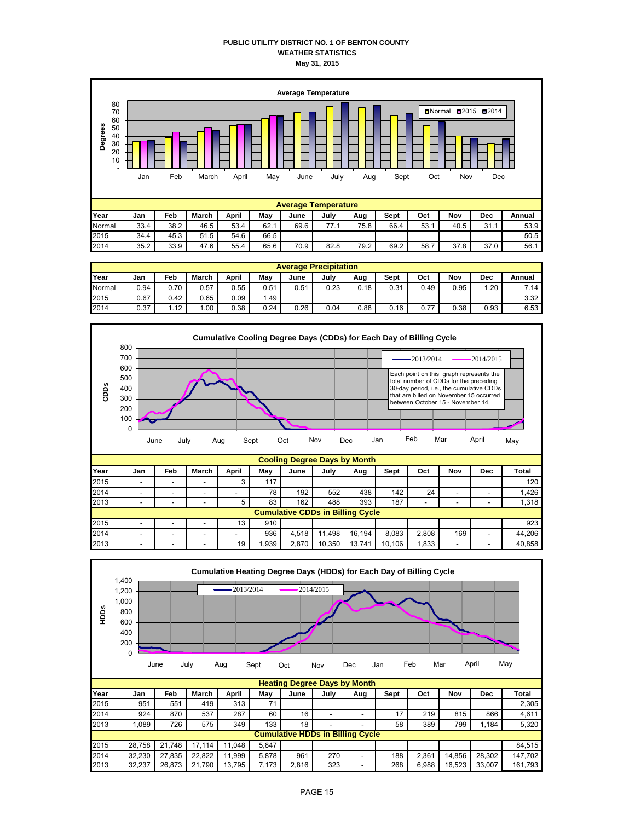### **PUBLIC UTILITY DISTRICT NO. 1 OF BENTON COUNTY WEATHER STATISTICS May 31, 2015**



|        | <b>Average Precipitation</b> |                   |         |       |      |      |      |      |      |      |      |      |        |
|--------|------------------------------|-------------------|---------|-------|------|------|------|------|------|------|------|------|--------|
| Year   | Jan                          | Feb               | March   | April | May  | June | July | Aug  | Sept | Oct  | Nov  | Dec  | Annual |
| Normal | 0.94                         | 0.70              | 0.57    | 0.55  | 0.51 | 0.51 | 0.23 | 0.18 | 0.31 | 0.49 | 0.95 | 1.20 | 7.14   |
| 2015   | 0.67                         | 0.42              | 0.65    | 0.09  | .49  |      |      |      |      |      |      |      | 3.32   |
| 2014   | 0.37                         | 1.12 <sub>1</sub> | $.00\,$ | 0.38  | 0.24 | 0.26 | 0.04 | 0.88 | 0.16 | 0.77 | 0.38 | 0.93 | 6.53   |



| 2014 | -                                       |  | - | -  | 78   | 192   | 552    | 438    | 142    | 24    | -   |  | 1.426  |
|------|-----------------------------------------|--|---|----|------|-------|--------|--------|--------|-------|-----|--|--------|
| 2013 | -                                       |  |   |    | 83   | 162   | 488    | 393    | 187    | -     | -   |  | 1,318  |
|      | <b>Cumulative CDDs in Billing Cycle</b> |  |   |    |      |       |        |        |        |       |     |  |        |
| 2015 | -                                       |  |   | 13 | 910  |       |        |        |        |       |     |  | 923    |
| 2014 | -                                       |  |   |    | 936  | 4.518 | .498   | 16.194 | 8.083  | 2.808 | 169 |  | 44.206 |
| 2013 | -                                       |  |   | 19 | .939 | 2.870 | 10,350 | 13.741 | 10.106 | .833  | -   |  | 40.858 |

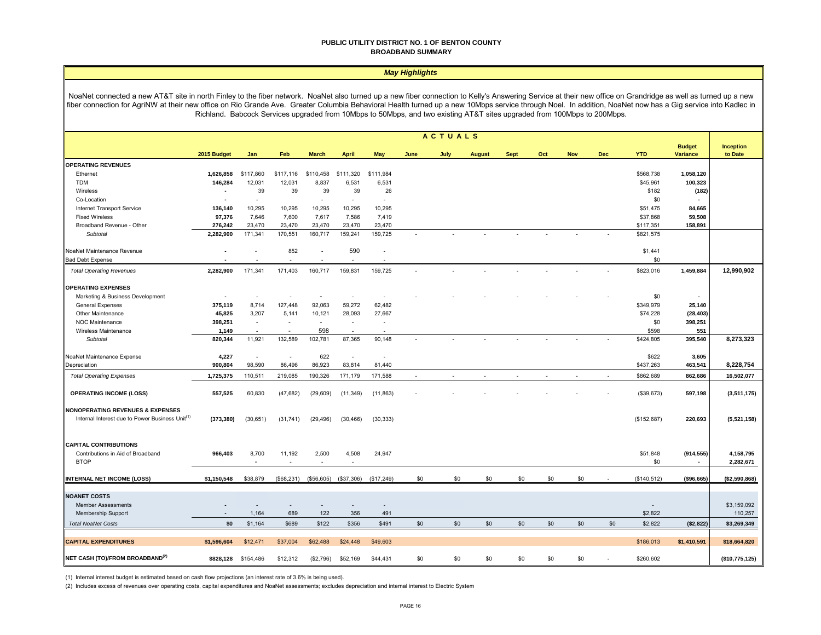#### **PUBLIC UTILITY DISTRICT NO. 1 OF BENTON COUNTY BROADBAND SUMMARY**

#### *May Highlights*

NoaNet connected a new AT&T site in north Finley to the fiber network. NoaNet also turned up a new fiber connection to Kelly's Answering Service at their new office on Grandridge as well as turned up a new fiber connection for AgriNW at their new office on Rio Grande Ave. Greater Columbia Behavioral Health turned up a new 10Mbps service through Noel. In addition, NoaNet now has a Gig service into Kadlec in Richland. Babcock Services upgraded from 10Mbps to 50Mbps, and two existing AT&T sites upgraded from 100Mbps to 200Mbps.

|                                                             |                |                          |                          |              |                          |                          |      | <b>ACTUALS</b> |               |             |     |            |                          |             |                           |                      |
|-------------------------------------------------------------|----------------|--------------------------|--------------------------|--------------|--------------------------|--------------------------|------|----------------|---------------|-------------|-----|------------|--------------------------|-------------|---------------------------|----------------------|
|                                                             | 2015 Budget    | Jan                      | Feb                      | <b>March</b> | <b>April</b>             | May                      | June | July           | <b>August</b> | <b>Sept</b> | Oct | <b>Nov</b> | <b>Dec</b>               | <b>YTD</b>  | <b>Budget</b><br>Variance | Inception<br>to Date |
| <b>OPERATING REVENUES</b>                                   |                |                          |                          |              |                          |                          |      |                |               |             |     |            |                          |             |                           |                      |
| Ethernet                                                    | 1,626,858      | \$117,860                | \$117,116                | \$110,458    | \$111,320                | \$111,984                |      |                |               |             |     |            |                          | \$568,738   | 1,058,120                 |                      |
| TDM                                                         | 146,284        | 12,031                   | 12,031                   | 8,837        | 6,531                    | 6,531                    |      |                |               |             |     |            |                          | \$45,961    | 100,323                   |                      |
| Wireless                                                    | $\blacksquare$ | 39                       | 39                       | 39           | 39                       | 26                       |      |                |               |             |     |            |                          | \$182       | (182)                     |                      |
| Co-Location                                                 | $\blacksquare$ | $\sim$                   |                          | $\sim$       | $\sim$                   | $\overline{\phantom{a}}$ |      |                |               |             |     |            |                          | \$0         |                           |                      |
| Internet Transport Service                                  | 136,140        | 10,295                   | 10,295                   | 10,295       | 10,295                   | 10,295                   |      |                |               |             |     |            |                          | \$51,475    | 84,665                    |                      |
| <b>Fixed Wireless</b>                                       | 97,376         | 7,646                    | 7,600                    | 7,617        | 7,586                    | 7,419                    |      |                |               |             |     |            |                          | \$37,868    | 59,508                    |                      |
| Broadband Revenue - Other                                   | 276,242        | 23,470                   | 23,470                   | 23,470       | 23,470                   | 23,470                   |      |                |               |             |     |            |                          | \$117,351   | 158,891                   |                      |
| Subtotal                                                    | 2,282,900      | 171,341                  | 170,551                  | 160,717      | 159,241                  | 159,725                  |      |                |               |             |     |            |                          | \$821,575   |                           |                      |
| NoaNet Maintenance Revenue                                  | ä,             | $\overline{\phantom{a}}$ | 852                      |              | 590                      | $\sim$                   |      |                |               |             |     |            |                          | \$1,441     |                           |                      |
| <b>Bad Debt Expense</b>                                     |                |                          | $\overline{\phantom{a}}$ |              | $\sim$                   | $\overline{\phantom{a}}$ |      |                |               |             |     |            |                          | \$0         |                           |                      |
| <b>Total Operating Revenues</b>                             | 2,282,900      | 171,341                  | 171,403                  | 160,717      | 159,831                  | 159,725                  |      |                |               |             |     |            |                          | \$823,016   | 1,459,884                 | 12,990,902           |
| <b>OPERATING EXPENSES</b>                                   |                |                          |                          |              |                          |                          |      |                |               |             |     |            |                          |             |                           |                      |
| Marketing & Business Development                            | ä,             | $\overline{\phantom{a}}$ | $\overline{\phantom{a}}$ |              |                          |                          |      |                |               |             |     |            |                          | \$0         |                           |                      |
| <b>General Expenses</b>                                     | 375,119        | 8,714                    | 127,448                  | 92,063       | 59,272                   | 62,482                   |      |                |               |             |     |            |                          | \$349,979   | 25,140                    |                      |
| Other Maintenance                                           | 45,825         | 3,207                    | 5,141                    | 10,121       | 28,093                   | 27,667                   |      |                |               |             |     |            |                          | \$74,228    | (28, 403)                 |                      |
| NOC Maintenance                                             | 398,251        | $\overline{\phantom{a}}$ | $\overline{\phantom{a}}$ | $\sim$       | $\sim$                   | $\overline{\phantom{a}}$ |      |                |               |             |     |            |                          | \$0         | 398,251                   |                      |
| Wireless Maintenance                                        | 1,149          |                          | $\sim$                   | 598          | $\overline{\phantom{a}}$ | $\overline{a}$           |      |                |               |             |     |            |                          | \$598       | 551                       |                      |
| Subtotal                                                    | 820,344        | 11,921                   | 132,589                  | 102,781      | 87,365                   | 90,148                   |      |                |               |             |     |            |                          | \$424,805   | 395,540                   | 8,273,323            |
| NoaNet Maintenance Expense                                  | 4,227          | $\overline{\phantom{a}}$ | $\overline{\phantom{a}}$ | 622          | $\overline{\phantom{a}}$ | $\overline{a}$           |      |                |               |             |     |            |                          | \$622       | 3,605                     |                      |
| Depreciation                                                | 900,804        | 98,590                   | 86,496                   | 86,923       | 83,814                   | 81,440                   |      |                |               |             |     |            |                          | \$437,263   | 463,541                   | 8,228,754            |
| <b>Total Operating Expenses</b>                             | 1,725,375      | 110,511                  | 219,085                  | 190,326      | 171,179                  | 171,588                  |      |                |               |             |     |            | $\overline{\phantom{a}}$ | \$862,689   | 862,686                   | 16,502,077           |
| <b>OPERATING INCOME (LOSS)</b>                              | 557,525        | 60,830                   | (47, 682)                | (29, 609)    | (11, 349)                | (11, 863)                |      |                |               |             |     |            |                          | (\$39,673)  | 597,198                   | (3,511,175)          |
|                                                             |                |                          |                          |              |                          |                          |      |                |               |             |     |            |                          |             |                           |                      |
| <b>NONOPERATING REVENUES &amp; EXPENSES</b>                 |                |                          |                          |              |                          |                          |      |                |               |             |     |            |                          |             |                           |                      |
| Internal Interest due to Power Business Unit <sup>(1)</sup> | (373, 380)     | (30, 651)                | (31, 741)                | (29, 496)    | (30, 466)                | (30, 333)                |      |                |               |             |     |            |                          | (\$152,687) | 220,693                   | (5,521,158)          |
| <b>CAPITAL CONTRIBUTIONS</b>                                |                |                          |                          |              |                          |                          |      |                |               |             |     |            |                          |             |                           |                      |
| Contributions in Aid of Broadband                           | 966,403        | 8,700                    | 11,192                   | 2,500        | 4,508                    | 24,947                   |      |                |               |             |     |            |                          | \$51,848    | (914, 555)                | 4,158,795            |
| <b>BTOP</b>                                                 |                | ٠                        | $\overline{\phantom{a}}$ |              |                          |                          |      |                |               |             |     |            |                          | \$0         |                           | 2,282,671            |
|                                                             |                |                          |                          |              |                          |                          |      |                |               |             |     |            |                          |             |                           |                      |
| <b>INTERNAL NET INCOME (LOSS)</b>                           | \$1,150,548    | \$38,879                 | (\$68,231)               | (\$56,605)   | (\$37,306)               | (\$17,249)               | \$0  | \$0            | \$0           | \$0         | \$0 | \$0        |                          | (\$140,512) | (\$96,665)                | (\$2,590,868)        |
| <b>NOANET COSTS</b>                                         |                |                          |                          |              |                          |                          |      |                |               |             |     |            |                          |             |                           |                      |
| <b>Member Assessments</b>                                   |                |                          | $\overline{\phantom{a}}$ |              |                          | $\overline{\phantom{a}}$ |      |                |               |             |     |            |                          |             |                           | \$3,159,092          |
| Membership Support                                          |                | 1,164                    | 689                      | 122          | 356                      | 491                      |      |                |               |             |     |            |                          | \$2,822     |                           | 110,257              |
| <b>Total NoaNet Costs</b>                                   | \$0            | \$1,164                  | \$689                    | \$122        | \$356                    | \$491                    | \$0  | \$0            | \$0           | \$0         | \$0 | \$0        | \$0                      | \$2,822     | (\$2,822)                 | \$3,269,349          |
| <b>CAPITAL EXPENDITURES</b>                                 | \$1,596,604    | \$12,471                 | \$37,004                 | \$62,488     | \$24,448                 | \$49,603                 |      |                |               |             |     |            |                          | \$186,013   | \$1,410,591               | \$18,664,820         |
|                                                             |                |                          |                          |              |                          |                          |      |                |               |             |     |            |                          |             |                           |                      |
| NET CASH (TO)/FROM BROADBAND <sup>(2)</sup>                 | \$828,128      | \$154,486                | \$12,312                 | (\$2,796)    | \$52,169                 | \$44,431                 | \$0  | \$0            | \$0           | \$0         | \$0 | \$0        |                          | \$260,602   |                           | (\$10,775,125)       |

(1) Internal interest budget is estimated based on cash flow projections (an interest rate of 3.6% is being used).

(2) Includes excess of revenues over operating costs, capital expenditures and NoaNet assessments; excludes depreciation and internal interest to Electric System